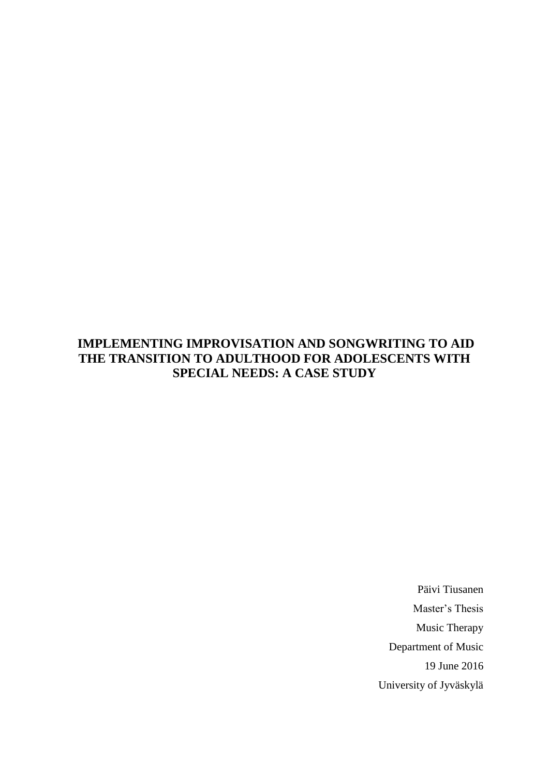## **IMPLEMENTING IMPROVISATION AND SONGWRITING TO AID THE TRANSITION TO ADULTHOOD FOR ADOLESCENTS WITH SPECIAL NEEDS: A CASE STUDY**

Päivi Tiusanen Master's Thesis Music Therapy Department of Music 19 June 2016 University of Jyväskylä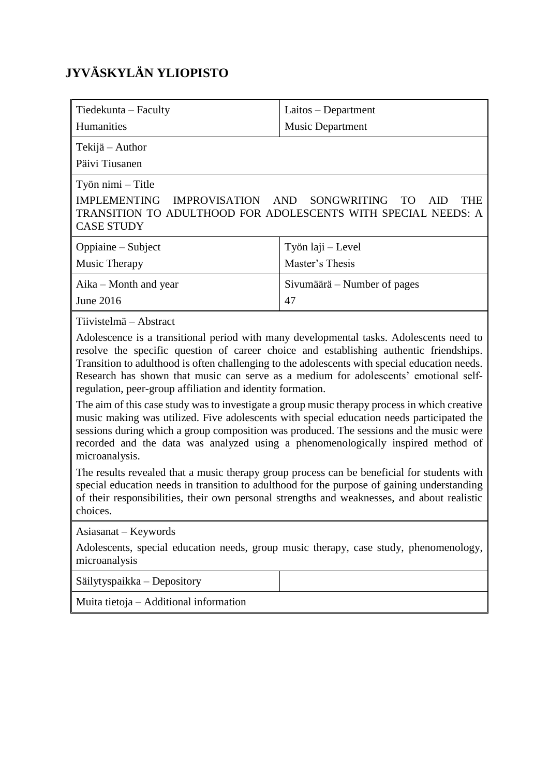# **JYVÄSKYLÄN YLIOPISTO**

| Tiedekunta – Faculty                                                                                                                                                                                                                                                                                                                                                                                                                                                                                                                                                                                                                                                                                                                                                                                                                                                                                                                                             | Laitos – Department         |  |
|------------------------------------------------------------------------------------------------------------------------------------------------------------------------------------------------------------------------------------------------------------------------------------------------------------------------------------------------------------------------------------------------------------------------------------------------------------------------------------------------------------------------------------------------------------------------------------------------------------------------------------------------------------------------------------------------------------------------------------------------------------------------------------------------------------------------------------------------------------------------------------------------------------------------------------------------------------------|-----------------------------|--|
| Humanities                                                                                                                                                                                                                                                                                                                                                                                                                                                                                                                                                                                                                                                                                                                                                                                                                                                                                                                                                       | <b>Music Department</b>     |  |
| Tekijä - Author<br>Päivi Tiusanen                                                                                                                                                                                                                                                                                                                                                                                                                                                                                                                                                                                                                                                                                                                                                                                                                                                                                                                                |                             |  |
| Työn nimi – Title<br><b>IMPLEMENTING</b><br><b>IMPROVISATION</b><br>SONGWRITING<br><b>AND</b><br><b>THE</b><br>TO<br>AID<br>TRANSITION TO ADULTHOOD FOR ADOLESCENTS WITH SPECIAL NEEDS: A<br><b>CASE STUDY</b>                                                                                                                                                                                                                                                                                                                                                                                                                                                                                                                                                                                                                                                                                                                                                   |                             |  |
| Oppiaine – Subject                                                                                                                                                                                                                                                                                                                                                                                                                                                                                                                                                                                                                                                                                                                                                                                                                                                                                                                                               | Työn laji – Level           |  |
| Music Therapy                                                                                                                                                                                                                                                                                                                                                                                                                                                                                                                                                                                                                                                                                                                                                                                                                                                                                                                                                    | Master's Thesis             |  |
| Aika – Month and year                                                                                                                                                                                                                                                                                                                                                                                                                                                                                                                                                                                                                                                                                                                                                                                                                                                                                                                                            | Sivumäärä – Number of pages |  |
| June 2016                                                                                                                                                                                                                                                                                                                                                                                                                                                                                                                                                                                                                                                                                                                                                                                                                                                                                                                                                        | 47                          |  |
| Tiivistelmä – Abstract<br>Adolescence is a transitional period with many developmental tasks. Adolescents need to<br>resolve the specific question of career choice and establishing authentic friendships.<br>Transition to adulthood is often challenging to the adolescents with special education needs.<br>Research has shown that music can serve as a medium for adolescents' emotional self-<br>regulation, peer-group affiliation and identity formation.<br>The aim of this case study was to investigate a group music therapy process in which creative<br>music making was utilized. Five adolescents with special education needs participated the<br>sessions during which a group composition was produced. The sessions and the music were<br>recorded and the data was analyzed using a phenomenologically inspired method of<br>microanalysis.<br>The results revealed that a music therapy group process can be beneficial for students with |                             |  |
| special education needs in transition to adulthood for the purpose of gaining understanding<br>of their responsibilities, their own personal strengths and weaknesses, and about realistic<br>choices.                                                                                                                                                                                                                                                                                                                                                                                                                                                                                                                                                                                                                                                                                                                                                           |                             |  |
| Asiasanat – Keywords<br>Adolescents, special education needs, group music therapy, case study, phenomenology,<br>microanalysis                                                                                                                                                                                                                                                                                                                                                                                                                                                                                                                                                                                                                                                                                                                                                                                                                                   |                             |  |
| Säilytyspaikka – Depository                                                                                                                                                                                                                                                                                                                                                                                                                                                                                                                                                                                                                                                                                                                                                                                                                                                                                                                                      |                             |  |
|                                                                                                                                                                                                                                                                                                                                                                                                                                                                                                                                                                                                                                                                                                                                                                                                                                                                                                                                                                  |                             |  |

Muita tietoja – Additional information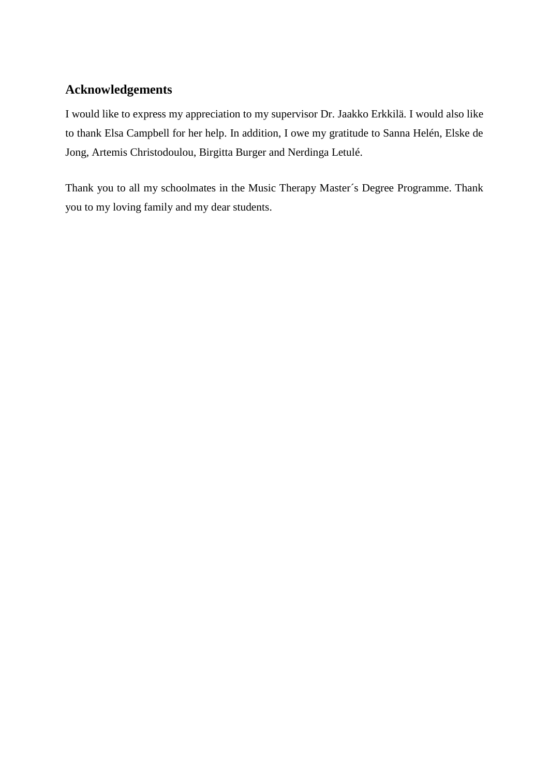## **Acknowledgements**

I would like to express my appreciation to my supervisor Dr. Jaakko Erkkilä. I would also like to thank Elsa Campbell for her help. In addition, I owe my gratitude to Sanna Helén, Elske de Jong, Artemis Christodoulou, Birgitta Burger and Nerdinga Letulé.

Thank you to all my schoolmates in the Music Therapy Master´s Degree Programme. Thank you to my loving family and my dear students.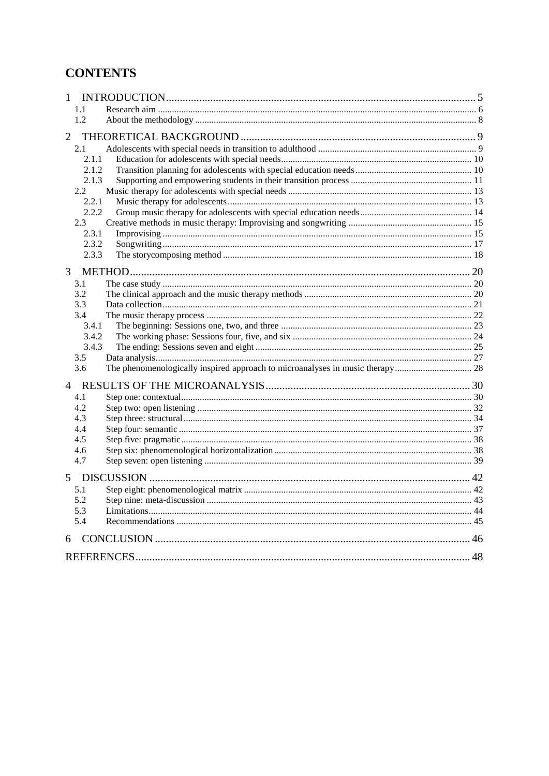## **CONTENTS**

| 1.1<br>1.2<br>$\overline{2}$<br>2.1<br>2.1.1<br>2.1.2<br>2.1.3<br>$2.2\,$<br>2.2.1<br>2.2.2<br>2.3<br>2.3.1<br>2.3.2<br>2.3.3<br>3<br>3.1<br>3.2<br>3.3<br>3.4<br>3.4.1<br>3.4.2<br>3.4.3<br>3.5<br>3.6<br>$\overline{4}$<br>4.1<br>4.2<br>4.3<br>4.4<br>4.5<br>4.6<br>4.7<br>5<br>5.1<br>5.2<br>5.3<br>5.4<br>6 | 1 |  |  |
|------------------------------------------------------------------------------------------------------------------------------------------------------------------------------------------------------------------------------------------------------------------------------------------------------------------|---|--|--|
|                                                                                                                                                                                                                                                                                                                  |   |  |  |
|                                                                                                                                                                                                                                                                                                                  |   |  |  |
|                                                                                                                                                                                                                                                                                                                  |   |  |  |
|                                                                                                                                                                                                                                                                                                                  |   |  |  |
|                                                                                                                                                                                                                                                                                                                  |   |  |  |
|                                                                                                                                                                                                                                                                                                                  |   |  |  |
|                                                                                                                                                                                                                                                                                                                  |   |  |  |
|                                                                                                                                                                                                                                                                                                                  |   |  |  |
|                                                                                                                                                                                                                                                                                                                  |   |  |  |
|                                                                                                                                                                                                                                                                                                                  |   |  |  |
|                                                                                                                                                                                                                                                                                                                  |   |  |  |
|                                                                                                                                                                                                                                                                                                                  |   |  |  |
|                                                                                                                                                                                                                                                                                                                  |   |  |  |
|                                                                                                                                                                                                                                                                                                                  |   |  |  |
|                                                                                                                                                                                                                                                                                                                  |   |  |  |
|                                                                                                                                                                                                                                                                                                                  |   |  |  |
|                                                                                                                                                                                                                                                                                                                  |   |  |  |
|                                                                                                                                                                                                                                                                                                                  |   |  |  |
|                                                                                                                                                                                                                                                                                                                  |   |  |  |
|                                                                                                                                                                                                                                                                                                                  |   |  |  |
|                                                                                                                                                                                                                                                                                                                  |   |  |  |
|                                                                                                                                                                                                                                                                                                                  |   |  |  |
|                                                                                                                                                                                                                                                                                                                  |   |  |  |
|                                                                                                                                                                                                                                                                                                                  |   |  |  |
|                                                                                                                                                                                                                                                                                                                  |   |  |  |
|                                                                                                                                                                                                                                                                                                                  |   |  |  |
|                                                                                                                                                                                                                                                                                                                  |   |  |  |
|                                                                                                                                                                                                                                                                                                                  |   |  |  |
|                                                                                                                                                                                                                                                                                                                  |   |  |  |
|                                                                                                                                                                                                                                                                                                                  |   |  |  |
|                                                                                                                                                                                                                                                                                                                  |   |  |  |
|                                                                                                                                                                                                                                                                                                                  |   |  |  |
|                                                                                                                                                                                                                                                                                                                  |   |  |  |
|                                                                                                                                                                                                                                                                                                                  |   |  |  |
|                                                                                                                                                                                                                                                                                                                  |   |  |  |
|                                                                                                                                                                                                                                                                                                                  |   |  |  |
|                                                                                                                                                                                                                                                                                                                  |   |  |  |
|                                                                                                                                                                                                                                                                                                                  |   |  |  |
|                                                                                                                                                                                                                                                                                                                  |   |  |  |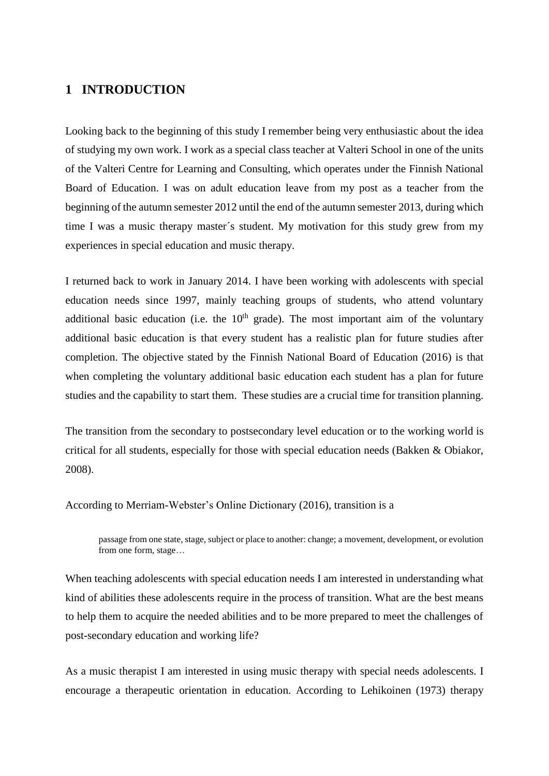## **1 INTRODUCTION**

Looking back to the beginning of this study I remember being very enthusiastic about the idea of studying my own work. I work as a special class teacher at Valteri School in one of the units of the Valteri Centre for Learning and Consulting, which operates under the Finnish National Board of Education. I was on adult education leave from my post as a teacher from the beginning of the autumn semester 2012 until the end of the autumn semester 2013, during which time I was a music therapy master´s student. My motivation for this study grew from my experiences in special education and music therapy.

I returned back to work in January 2014. I have been working with adolescents with special education needs since 1997, mainly teaching groups of students, who attend voluntary additional basic education (i.e. the  $10<sup>th</sup>$  grade). The most important aim of the voluntary additional basic education is that every student has a realistic plan for future studies after completion. The objective stated by the Finnish National Board of Education (2016) is that when completing the voluntary additional basic education each student has a plan for future studies and the capability to start them. These studies are a crucial time for transition planning.

The transition from the secondary to postsecondary level education or to the working world is critical for all students, especially for those with special education needs (Bakken & Obiakor, 2008).

According to Merriam-Webster's Online Dictionary (2016), transition is a

passage from one state, stage, subject or place to another: change; a movement, development, or evolution from one form, stage…

When teaching adolescents with special education needs I am interested in understanding what kind of abilities these adolescents require in the process of transition. What are the best means to help them to acquire the needed abilities and to be more prepared to meet the challenges of post-secondary education and working life?

As a music therapist I am interested in using music therapy with special needs adolescents. I encourage a therapeutic orientation in education. According to Lehikoinen (1973) therapy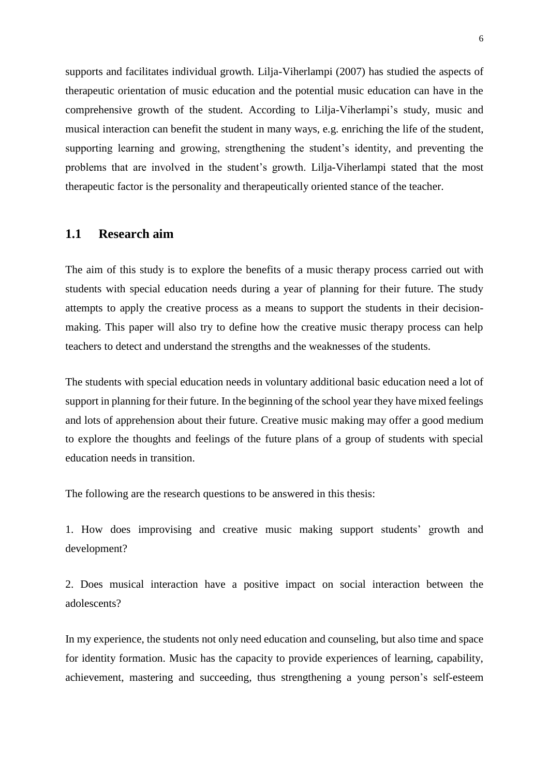supports and facilitates individual growth. Lilja-Viherlampi (2007) has studied the aspects of therapeutic orientation of music education and the potential music education can have in the comprehensive growth of the student. According to Lilja-Viherlampi's study, music and musical interaction can benefit the student in many ways, e.g. enriching the life of the student, supporting learning and growing, strengthening the student's identity, and preventing the problems that are involved in the student's growth. Lilja-Viherlampi stated that the most therapeutic factor is the personality and therapeutically oriented stance of the teacher.

## **1.1 Research aim**

The aim of this study is to explore the benefits of a music therapy process carried out with students with special education needs during a year of planning for their future. The study attempts to apply the creative process as a means to support the students in their decisionmaking. This paper will also try to define how the creative music therapy process can help teachers to detect and understand the strengths and the weaknesses of the students.

The students with special education needs in voluntary additional basic education need a lot of support in planning for their future. In the beginning of the school year they have mixed feelings and lots of apprehension about their future. Creative music making may offer a good medium to explore the thoughts and feelings of the future plans of a group of students with special education needs in transition.

The following are the research questions to be answered in this thesis:

1. How does improvising and creative music making support students' growth and development?

2. Does musical interaction have a positive impact on social interaction between the adolescents?

In my experience, the students not only need education and counseling, but also time and space for identity formation. Music has the capacity to provide experiences of learning, capability, achievement, mastering and succeeding, thus strengthening a young person's self-esteem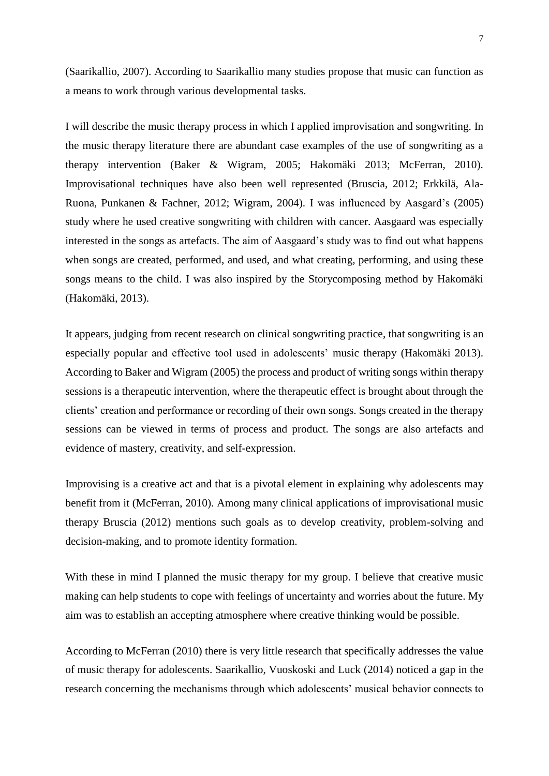(Saarikallio, 2007). According to Saarikallio many studies propose that music can function as a means to work through various developmental tasks.

I will describe the music therapy process in which I applied improvisation and songwriting. In the music therapy literature there are abundant case examples of the use of songwriting as a therapy intervention (Baker & Wigram, 2005; Hakomäki 2013; McFerran, 2010). Improvisational techniques have also been well represented (Bruscia, 2012; Erkkilä, Ala-Ruona, Punkanen & Fachner, 2012; Wigram, 2004). I was influenced by Aasgard's (2005) study where he used creative songwriting with children with cancer. Aasgaard was especially interested in the songs as artefacts. The aim of Aasgaard's study was to find out what happens when songs are created, performed, and used, and what creating, performing, and using these songs means to the child. I was also inspired by the Storycomposing method by Hakomäki (Hakomäki, 2013).

It appears, judging from recent research on clinical songwriting practice, that songwriting is an especially popular and effective tool used in adolescents' music therapy (Hakomäki 2013). According to Baker and Wigram (2005) the process and product of writing songs within therapy sessions is a therapeutic intervention, where the therapeutic effect is brought about through the clients' creation and performance or recording of their own songs. Songs created in the therapy sessions can be viewed in terms of process and product. The songs are also artefacts and evidence of mastery, creativity, and self-expression.

Improvising is a creative act and that is a pivotal element in explaining why adolescents may benefit from it (McFerran, 2010). Among many clinical applications of improvisational music therapy Bruscia (2012) mentions such goals as to develop creativity, problem-solving and decision-making, and to promote identity formation.

With these in mind I planned the music therapy for my group. I believe that creative music making can help students to cope with feelings of uncertainty and worries about the future. My aim was to establish an accepting atmosphere where creative thinking would be possible.

According to McFerran (2010) there is very little research that specifically addresses the value of music therapy for adolescents. Saarikallio, Vuoskoski and Luck (2014) noticed a gap in the research concerning the mechanisms through which adolescents' musical behavior connects to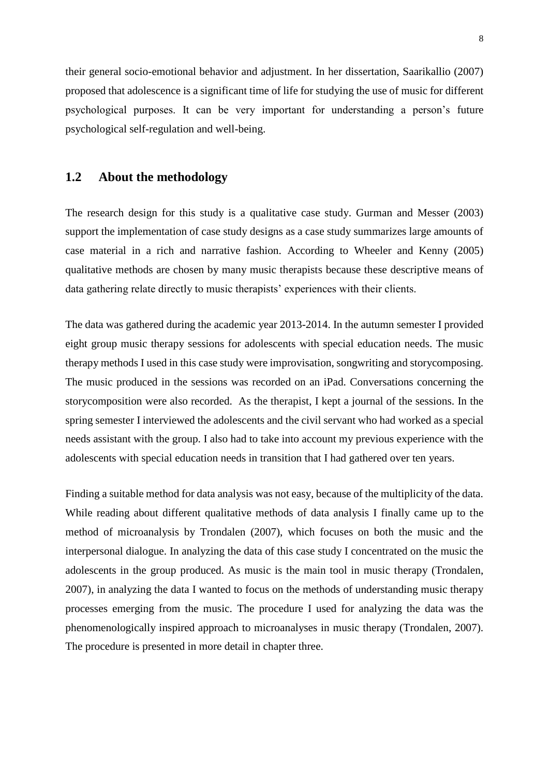their general socio-emotional behavior and adjustment. In her dissertation, Saarikallio (2007) proposed that adolescence is a significant time of life for studying the use of music for different psychological purposes. It can be very important for understanding a person's future psychological self-regulation and well-being.

## **1.2 About the methodology**

The research design for this study is a qualitative case study. Gurman and Messer (2003) support the implementation of case study designs as a case study summarizes large amounts of case material in a rich and narrative fashion. According to Wheeler and Kenny (2005) qualitative methods are chosen by many music therapists because these descriptive means of data gathering relate directly to music therapists' experiences with their clients.

The data was gathered during the academic year 2013-2014. In the autumn semester I provided eight group music therapy sessions for adolescents with special education needs. The music therapy methods I used in this case study were improvisation, songwriting and storycomposing. The music produced in the sessions was recorded on an iPad. Conversations concerning the storycomposition were also recorded. As the therapist, I kept a journal of the sessions. In the spring semester I interviewed the adolescents and the civil servant who had worked as a special needs assistant with the group. I also had to take into account my previous experience with the adolescents with special education needs in transition that I had gathered over ten years.

Finding a suitable method for data analysis was not easy, because of the multiplicity of the data. While reading about different qualitative methods of data analysis I finally came up to the method of microanalysis by Trondalen (2007), which focuses on both the music and the interpersonal dialogue. In analyzing the data of this case study I concentrated on the music the adolescents in the group produced. As music is the main tool in music therapy (Trondalen, 2007), in analyzing the data I wanted to focus on the methods of understanding music therapy processes emerging from the music. The procedure I used for analyzing the data was the phenomenologically inspired approach to microanalyses in music therapy (Trondalen, 2007). The procedure is presented in more detail in chapter three.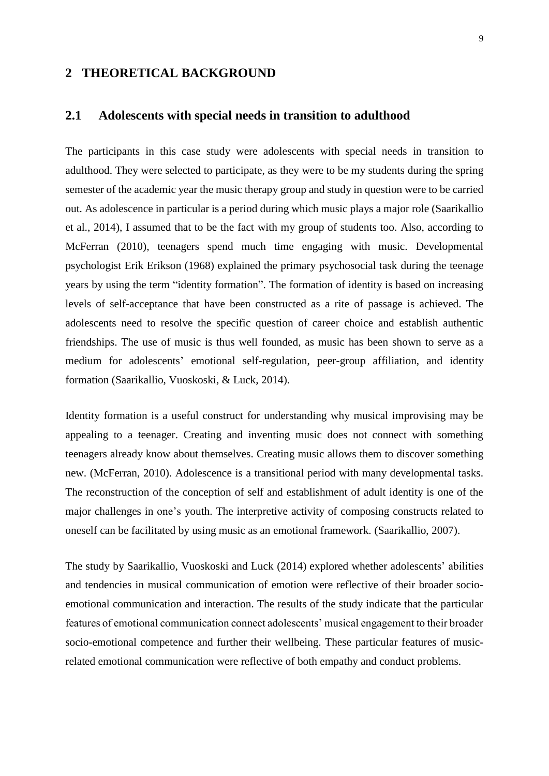## **2 THEORETICAL BACKGROUND**

#### **2.1 Adolescents with special needs in transition to adulthood**

The participants in this case study were adolescents with special needs in transition to adulthood. They were selected to participate, as they were to be my students during the spring semester of the academic year the music therapy group and study in question were to be carried out. As adolescence in particular is a period during which music plays a major role (Saarikallio et al., 2014), I assumed that to be the fact with my group of students too. Also, according to McFerran (2010), teenagers spend much time engaging with music. Developmental psychologist Erik Erikson (1968) explained the primary psychosocial task during the teenage years by using the term "identity formation". The formation of identity is based on increasing levels of self-acceptance that have been constructed as a rite of passage is achieved. The adolescents need to resolve the specific question of career choice and establish authentic friendships. The use of music is thus well founded, as music has been shown to serve as a medium for adolescents' emotional self-regulation, peer-group affiliation, and identity formation (Saarikallio, Vuoskoski, & Luck, 2014).

Identity formation is a useful construct for understanding why musical improvising may be appealing to a teenager. Creating and inventing music does not connect with something teenagers already know about themselves. Creating music allows them to discover something new. (McFerran, 2010). Adolescence is a transitional period with many developmental tasks. The reconstruction of the conception of self and establishment of adult identity is one of the major challenges in one's youth. The interpretive activity of composing constructs related to oneself can be facilitated by using music as an emotional framework. (Saarikallio, 2007).

The study by Saarikallio, Vuoskoski and Luck (2014) explored whether adolescents' abilities and tendencies in musical communication of emotion were reflective of their broader socioemotional communication and interaction. The results of the study indicate that the particular features of emotional communication connect adolescents' musical engagement to their broader socio-emotional competence and further their wellbeing. These particular features of musicrelated emotional communication were reflective of both empathy and conduct problems.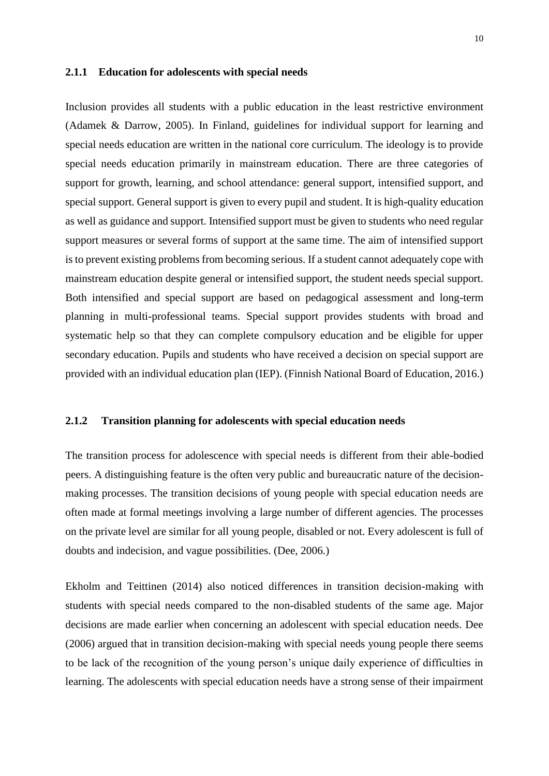#### **2.1.1 Education for adolescents with special needs**

Inclusion provides all students with a public education in the least restrictive environment (Adamek & Darrow, 2005). In Finland, guidelines for individual support for learning and special needs education are written in the national core curriculum. The ideology is to provide special needs education primarily in mainstream education. There are three categories of support for growth, learning, and school attendance: general support, intensified support, and special support. General support is given to every pupil and student. It is high-quality education as well as guidance and support. Intensified support must be given to students who need regular support measures or several forms of support at the same time. The aim of intensified support is to prevent existing problems from becoming serious. If a student cannot adequately cope with mainstream education despite general or intensified support, the student needs special support. Both intensified and special support are based on pedagogical assessment and long-term planning in multi-professional teams. Special support provides students with broad and systematic help so that they can complete compulsory education and be eligible for upper secondary education. Pupils and students who have received a decision on special support are provided with an individual education plan (IEP). (Finnish National Board of Education, 2016.)

#### **2.1.2 Transition planning for adolescents with special education needs**

The transition process for adolescence with special needs is different from their able-bodied peers. A distinguishing feature is the often very public and bureaucratic nature of the decisionmaking processes. The transition decisions of young people with special education needs are often made at formal meetings involving a large number of different agencies. The processes on the private level are similar for all young people, disabled or not. Every adolescent is full of doubts and indecision, and vague possibilities. (Dee, 2006.)

Ekholm and Teittinen (2014) also noticed differences in transition decision-making with students with special needs compared to the non-disabled students of the same age. Major decisions are made earlier when concerning an adolescent with special education needs. Dee (2006) argued that in transition decision-making with special needs young people there seems to be lack of the recognition of the young person's unique daily experience of difficulties in learning. The adolescents with special education needs have a strong sense of their impairment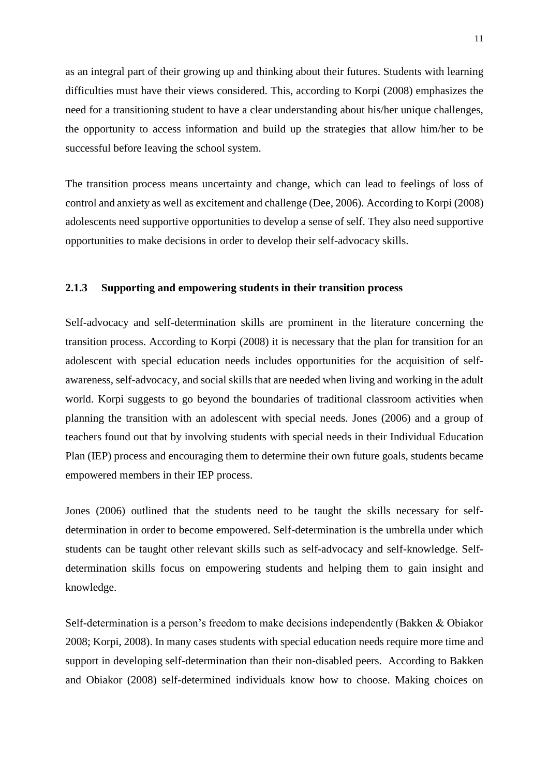as an integral part of their growing up and thinking about their futures. Students with learning difficulties must have their views considered. This, according to Korpi (2008) emphasizes the need for a transitioning student to have a clear understanding about his/her unique challenges, the opportunity to access information and build up the strategies that allow him/her to be successful before leaving the school system.

The transition process means uncertainty and change, which can lead to feelings of loss of control and anxiety as well as excitement and challenge (Dee, 2006). According to Korpi (2008) adolescents need supportive opportunities to develop a sense of self. They also need supportive opportunities to make decisions in order to develop their self-advocacy skills.

#### **2.1.3 Supporting and empowering students in their transition process**

Self-advocacy and self-determination skills are prominent in the literature concerning the transition process. According to Korpi (2008) it is necessary that the plan for transition for an adolescent with special education needs includes opportunities for the acquisition of selfawareness, self-advocacy, and social skills that are needed when living and working in the adult world. Korpi suggests to go beyond the boundaries of traditional classroom activities when planning the transition with an adolescent with special needs. Jones (2006) and a group of teachers found out that by involving students with special needs in their Individual Education Plan (IEP) process and encouraging them to determine their own future goals, students became empowered members in their IEP process.

Jones (2006) outlined that the students need to be taught the skills necessary for selfdetermination in order to become empowered. Self-determination is the umbrella under which students can be taught other relevant skills such as self-advocacy and self-knowledge. Selfdetermination skills focus on empowering students and helping them to gain insight and knowledge.

Self-determination is a person's freedom to make decisions independently (Bakken & Obiakor 2008; Korpi, 2008). In many cases students with special education needs require more time and support in developing self-determination than their non-disabled peers. According to Bakken and Obiakor (2008) self-determined individuals know how to choose. Making choices on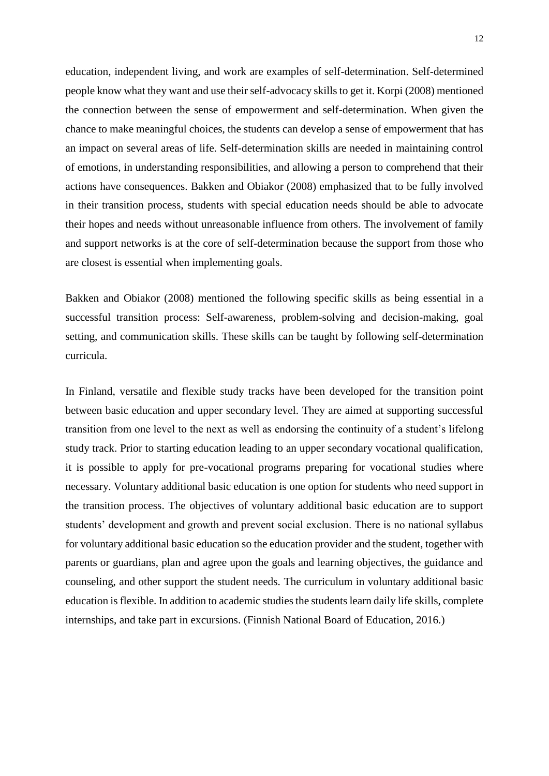education, independent living, and work are examples of self-determination. Self-determined people know what they want and use their self-advocacy skills to get it. Korpi (2008) mentioned the connection between the sense of empowerment and self-determination. When given the chance to make meaningful choices, the students can develop a sense of empowerment that has an impact on several areas of life. Self-determination skills are needed in maintaining control of emotions, in understanding responsibilities, and allowing a person to comprehend that their actions have consequences. Bakken and Obiakor (2008) emphasized that to be fully involved in their transition process, students with special education needs should be able to advocate their hopes and needs without unreasonable influence from others. The involvement of family and support networks is at the core of self-determination because the support from those who are closest is essential when implementing goals.

Bakken and Obiakor (2008) mentioned the following specific skills as being essential in a successful transition process: Self-awareness, problem-solving and decision-making, goal setting, and communication skills. These skills can be taught by following self-determination curricula.

In Finland, versatile and flexible study tracks have been developed for the transition point between basic education and upper secondary level. They are aimed at supporting successful transition from one level to the next as well as endorsing the continuity of a student's lifelong study track. Prior to starting education leading to an upper secondary vocational qualification, it is possible to apply for pre-vocational programs preparing for vocational studies where necessary. Voluntary additional basic education is one option for students who need support in the transition process. The objectives of voluntary additional basic education are to support students' development and growth and prevent social exclusion. There is no national syllabus for voluntary additional basic education so the education provider and the student, together with parents or guardians, plan and agree upon the goals and learning objectives, the guidance and counseling, and other support the student needs. The curriculum in voluntary additional basic education is flexible. In addition to academic studies the students learn daily life skills, complete internships, and take part in excursions. (Finnish National Board of Education, 2016.)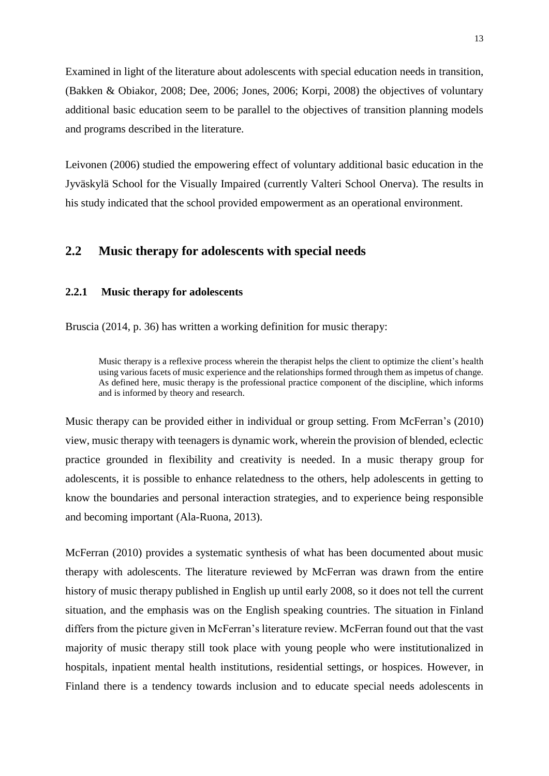Examined in light of the literature about adolescents with special education needs in transition, (Bakken & Obiakor, 2008; Dee, 2006; Jones, 2006; Korpi, 2008) the objectives of voluntary additional basic education seem to be parallel to the objectives of transition planning models and programs described in the literature.

Leivonen (2006) studied the empowering effect of voluntary additional basic education in the Jyväskylä School for the Visually Impaired (currently Valteri School Onerva). The results in his study indicated that the school provided empowerment as an operational environment.

## **2.2 Music therapy for adolescents with special needs**

#### **2.2.1 Music therapy for adolescents**

Bruscia (2014, p. 36) has written a working definition for music therapy:

Music therapy is a reflexive process wherein the therapist helps the client to optimize the client's health using various facets of music experience and the relationships formed through them as impetus of change. As defined here, music therapy is the professional practice component of the discipline, which informs and is informed by theory and research.

Music therapy can be provided either in individual or group setting. From McFerran's (2010) view, music therapy with teenagers is dynamic work, wherein the provision of blended, eclectic practice grounded in flexibility and creativity is needed. In a music therapy group for adolescents, it is possible to enhance relatedness to the others, help adolescents in getting to know the boundaries and personal interaction strategies, and to experience being responsible and becoming important (Ala-Ruona, 2013).

McFerran (2010) provides a systematic synthesis of what has been documented about music therapy with adolescents. The literature reviewed by McFerran was drawn from the entire history of music therapy published in English up until early 2008, so it does not tell the current situation, and the emphasis was on the English speaking countries. The situation in Finland differs from the picture given in McFerran's literature review. McFerran found out that the vast majority of music therapy still took place with young people who were institutionalized in hospitals, inpatient mental health institutions, residential settings, or hospices. However, in Finland there is a tendency towards inclusion and to educate special needs adolescents in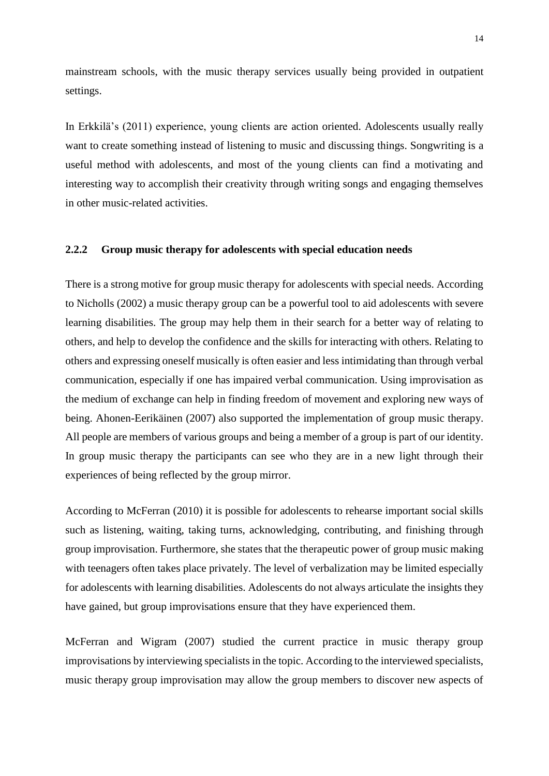mainstream schools, with the music therapy services usually being provided in outpatient settings.

In Erkkilä's (2011) experience, young clients are action oriented. Adolescents usually really want to create something instead of listening to music and discussing things. Songwriting is a useful method with adolescents, and most of the young clients can find a motivating and interesting way to accomplish their creativity through writing songs and engaging themselves in other music-related activities.

#### **2.2.2 Group music therapy for adolescents with special education needs**

There is a strong motive for group music therapy for adolescents with special needs. According to Nicholls (2002) a music therapy group can be a powerful tool to aid adolescents with severe learning disabilities. The group may help them in their search for a better way of relating to others, and help to develop the confidence and the skills for interacting with others. Relating to others and expressing oneself musically is often easier and less intimidating than through verbal communication, especially if one has impaired verbal communication. Using improvisation as the medium of exchange can help in finding freedom of movement and exploring new ways of being. Ahonen-Eerikäinen (2007) also supported the implementation of group music therapy. All people are members of various groups and being a member of a group is part of our identity. In group music therapy the participants can see who they are in a new light through their experiences of being reflected by the group mirror.

According to McFerran (2010) it is possible for adolescents to rehearse important social skills such as listening, waiting, taking turns, acknowledging, contributing, and finishing through group improvisation. Furthermore, she states that the therapeutic power of group music making with teenagers often takes place privately. The level of verbalization may be limited especially for adolescents with learning disabilities. Adolescents do not always articulate the insights they have gained, but group improvisations ensure that they have experienced them.

McFerran and Wigram (2007) studied the current practice in music therapy group improvisations by interviewing specialists in the topic. According to the interviewed specialists, music therapy group improvisation may allow the group members to discover new aspects of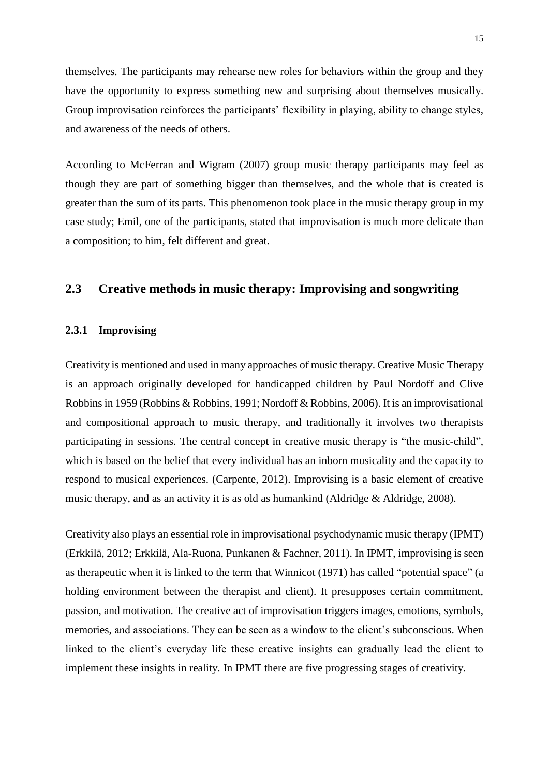themselves. The participants may rehearse new roles for behaviors within the group and they have the opportunity to express something new and surprising about themselves musically. Group improvisation reinforces the participants' flexibility in playing, ability to change styles, and awareness of the needs of others.

According to McFerran and Wigram (2007) group music therapy participants may feel as though they are part of something bigger than themselves, and the whole that is created is greater than the sum of its parts. This phenomenon took place in the music therapy group in my case study; Emil, one of the participants, stated that improvisation is much more delicate than a composition; to him, felt different and great.

## **2.3 Creative methods in music therapy: Improvising and songwriting**

#### **2.3.1 Improvising**

Creativity is mentioned and used in many approaches of music therapy. Creative Music Therapy is an approach originally developed for handicapped children by Paul Nordoff and Clive Robbins in 1959 (Robbins & Robbins, 1991; Nordoff & Robbins, 2006). It is an improvisational and compositional approach to music therapy, and traditionally it involves two therapists participating in sessions. The central concept in creative music therapy is "the music-child", which is based on the belief that every individual has an inborn musicality and the capacity to respond to musical experiences. (Carpente, 2012). Improvising is a basic element of creative music therapy, and as an activity it is as old as humankind (Aldridge & Aldridge, 2008).

Creativity also plays an essential role in improvisational psychodynamic music therapy (IPMT) (Erkkilä, 2012; Erkkilä, Ala-Ruona, Punkanen & Fachner, 2011). In IPMT, improvising is seen as therapeutic when it is linked to the term that Winnicot (1971) has called "potential space" (a holding environment between the therapist and client). It presupposes certain commitment, passion, and motivation. The creative act of improvisation triggers images, emotions, symbols, memories, and associations. They can be seen as a window to the client's subconscious. When linked to the client's everyday life these creative insights can gradually lead the client to implement these insights in reality. In IPMT there are five progressing stages of creativity.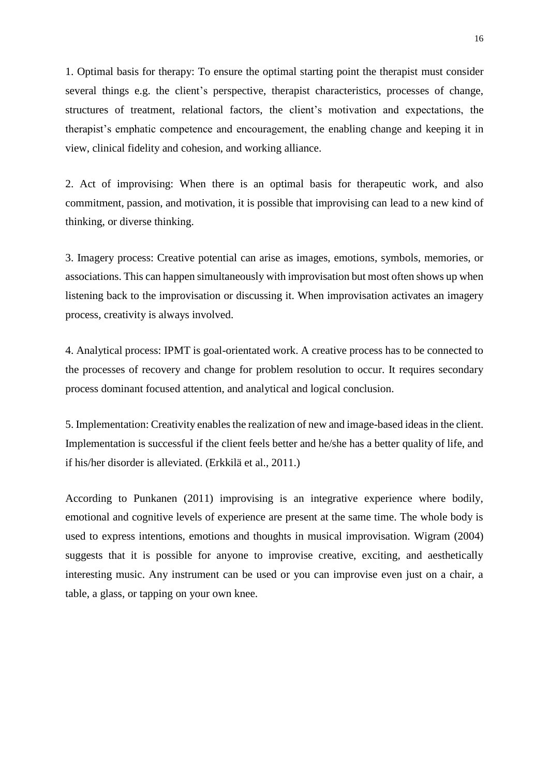1. Optimal basis for therapy: To ensure the optimal starting point the therapist must consider several things e.g. the client's perspective, therapist characteristics, processes of change, structures of treatment, relational factors, the client's motivation and expectations, the therapist's emphatic competence and encouragement, the enabling change and keeping it in view, clinical fidelity and cohesion, and working alliance.

2. Act of improvising: When there is an optimal basis for therapeutic work, and also commitment, passion, and motivation, it is possible that improvising can lead to a new kind of thinking, or diverse thinking.

3. Imagery process: Creative potential can arise as images, emotions, symbols, memories, or associations. This can happen simultaneously with improvisation but most often shows up when listening back to the improvisation or discussing it. When improvisation activates an imagery process, creativity is always involved.

4. Analytical process: IPMT is goal-orientated work. A creative process has to be connected to the processes of recovery and change for problem resolution to occur. It requires secondary process dominant focused attention, and analytical and logical conclusion.

5. Implementation: Creativity enables the realization of new and image-based ideas in the client. Implementation is successful if the client feels better and he/she has a better quality of life, and if his/her disorder is alleviated. (Erkkilä et al., 2011.)

According to Punkanen (2011) improvising is an integrative experience where bodily, emotional and cognitive levels of experience are present at the same time. The whole body is used to express intentions, emotions and thoughts in musical improvisation. Wigram (2004) suggests that it is possible for anyone to improvise creative, exciting, and aesthetically interesting music. Any instrument can be used or you can improvise even just on a chair, a table, a glass, or tapping on your own knee.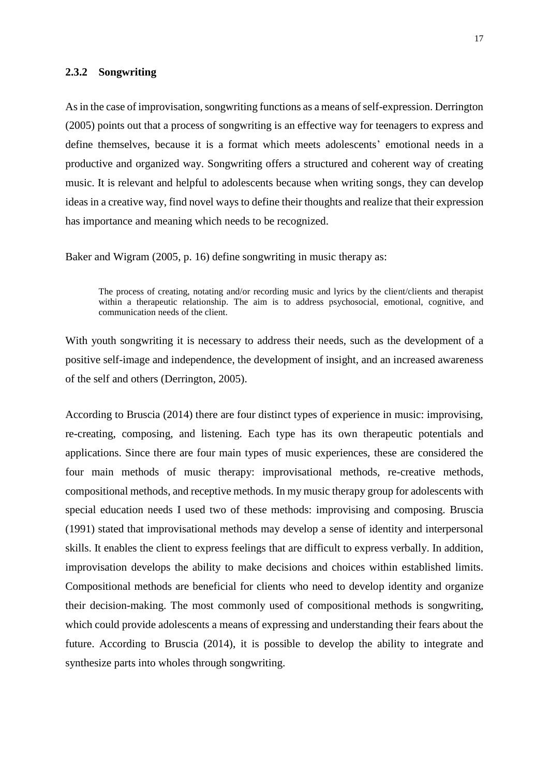#### **2.3.2 Songwriting**

As in the case of improvisation, songwriting functions as a means of self-expression. Derrington (2005) points out that a process of songwriting is an effective way for teenagers to express and define themselves, because it is a format which meets adolescents' emotional needs in a productive and organized way. Songwriting offers a structured and coherent way of creating music. It is relevant and helpful to adolescents because when writing songs, they can develop ideas in a creative way, find novel ways to define their thoughts and realize that their expression has importance and meaning which needs to be recognized.

Baker and Wigram (2005, p. 16) define songwriting in music therapy as:

The process of creating, notating and/or recording music and lyrics by the client/clients and therapist within a therapeutic relationship. The aim is to address psychosocial, emotional, cognitive, and communication needs of the client.

With youth songwriting it is necessary to address their needs, such as the development of a positive self-image and independence, the development of insight, and an increased awareness of the self and others (Derrington, 2005).

According to Bruscia (2014) there are four distinct types of experience in music: improvising, re-creating, composing, and listening. Each type has its own therapeutic potentials and applications. Since there are four main types of music experiences, these are considered the four main methods of music therapy: improvisational methods, re-creative methods, compositional methods, and receptive methods. In my music therapy group for adolescents with special education needs I used two of these methods: improvising and composing. Bruscia (1991) stated that improvisational methods may develop a sense of identity and interpersonal skills. It enables the client to express feelings that are difficult to express verbally. In addition, improvisation develops the ability to make decisions and choices within established limits. Compositional methods are beneficial for clients who need to develop identity and organize their decision-making. The most commonly used of compositional methods is songwriting, which could provide adolescents a means of expressing and understanding their fears about the future. According to Bruscia (2014), it is possible to develop the ability to integrate and synthesize parts into wholes through songwriting.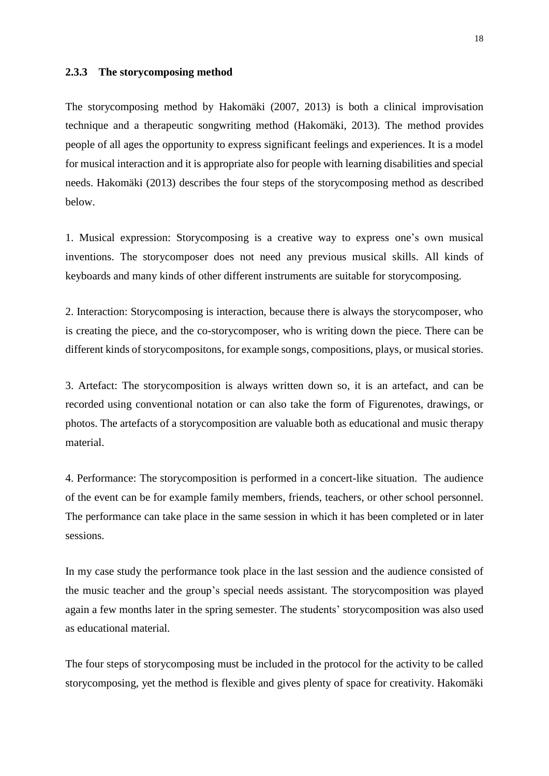#### **2.3.3 The storycomposing method**

The storycomposing method by Hakomäki (2007, 2013) is both a clinical improvisation technique and a therapeutic songwriting method (Hakomäki, 2013). The method provides people of all ages the opportunity to express significant feelings and experiences. It is a model for musical interaction and it is appropriate also for people with learning disabilities and special needs. Hakomäki (2013) describes the four steps of the storycomposing method as described below.

1. Musical expression: Storycomposing is a creative way to express one's own musical inventions. The storycomposer does not need any previous musical skills. All kinds of keyboards and many kinds of other different instruments are suitable for storycomposing.

2. Interaction: Storycomposing is interaction, because there is always the storycomposer, who is creating the piece, and the co-storycomposer, who is writing down the piece. There can be different kinds of storycompositons, for example songs, compositions, plays, or musical stories.

3. Artefact: The storycomposition is always written down so, it is an artefact, and can be recorded using conventional notation or can also take the form of Figurenotes, drawings, or photos. The artefacts of a storycomposition are valuable both as educational and music therapy material.

4. Performance: The storycomposition is performed in a concert-like situation. The audience of the event can be for example family members, friends, teachers, or other school personnel. The performance can take place in the same session in which it has been completed or in later sessions.

In my case study the performance took place in the last session and the audience consisted of the music teacher and the group's special needs assistant. The storycomposition was played again a few months later in the spring semester. The students' storycomposition was also used as educational material.

The four steps of storycomposing must be included in the protocol for the activity to be called storycomposing, yet the method is flexible and gives plenty of space for creativity. Hakomäki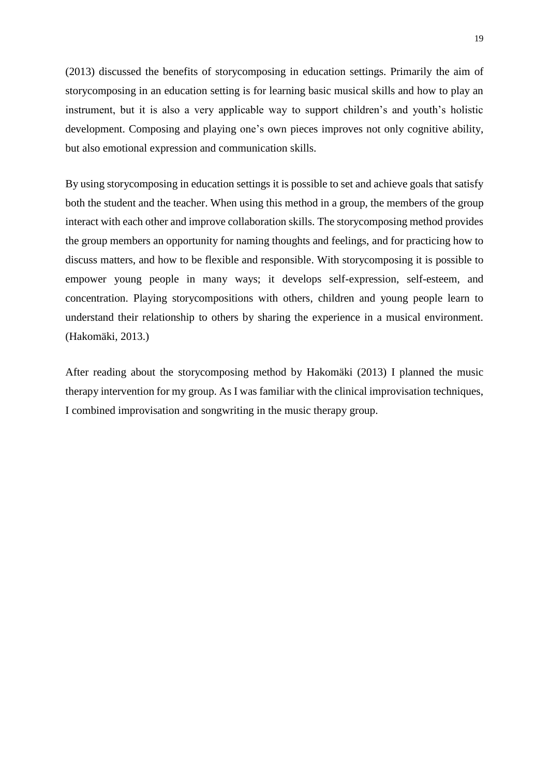(2013) discussed the benefits of storycomposing in education settings. Primarily the aim of storycomposing in an education setting is for learning basic musical skills and how to play an instrument, but it is also a very applicable way to support children's and youth's holistic development. Composing and playing one's own pieces improves not only cognitive ability, but also emotional expression and communication skills.

By using storycomposing in education settings it is possible to set and achieve goals that satisfy both the student and the teacher. When using this method in a group, the members of the group interact with each other and improve collaboration skills. The storycomposing method provides the group members an opportunity for naming thoughts and feelings, and for practicing how to discuss matters, and how to be flexible and responsible. With storycomposing it is possible to empower young people in many ways; it develops self-expression, self-esteem, and concentration. Playing storycompositions with others, children and young people learn to understand their relationship to others by sharing the experience in a musical environment. (Hakomäki, 2013.)

After reading about the storycomposing method by Hakomäki (2013) I planned the music therapy intervention for my group. As I was familiar with the clinical improvisation techniques, I combined improvisation and songwriting in the music therapy group.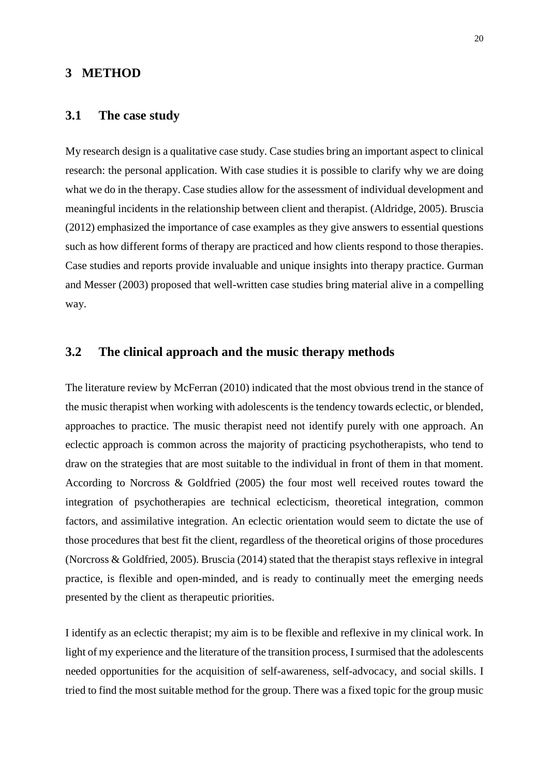## **3 METHOD**

#### **3.1 The case study**

My research design is a qualitative case study. Case studies bring an important aspect to clinical research: the personal application. With case studies it is possible to clarify why we are doing what we do in the therapy. Case studies allow for the assessment of individual development and meaningful incidents in the relationship between client and therapist. (Aldridge, 2005). Bruscia (2012) emphasized the importance of case examples as they give answers to essential questions such as how different forms of therapy are practiced and how clients respond to those therapies. Case studies and reports provide invaluable and unique insights into therapy practice. Gurman and Messer (2003) proposed that well-written case studies bring material alive in a compelling way.

## **3.2 The clinical approach and the music therapy methods**

The literature review by McFerran (2010) indicated that the most obvious trend in the stance of the music therapist when working with adolescents is the tendency towards eclectic, or blended, approaches to practice. The music therapist need not identify purely with one approach. An eclectic approach is common across the majority of practicing psychotherapists, who tend to draw on the strategies that are most suitable to the individual in front of them in that moment. According to Norcross & Goldfried (2005) the four most well received routes toward the integration of psychotherapies are technical eclecticism, theoretical integration, common factors, and assimilative integration. An eclectic orientation would seem to dictate the use of those procedures that best fit the client, regardless of the theoretical origins of those procedures (Norcross & Goldfried, 2005). Bruscia (2014) stated that the therapist stays reflexive in integral practice, is flexible and open-minded, and is ready to continually meet the emerging needs presented by the client as therapeutic priorities.

I identify as an eclectic therapist; my aim is to be flexible and reflexive in my clinical work. In light of my experience and the literature of the transition process, I surmised that the adolescents needed opportunities for the acquisition of self-awareness, self-advocacy, and social skills. I tried to find the most suitable method for the group. There was a fixed topic for the group music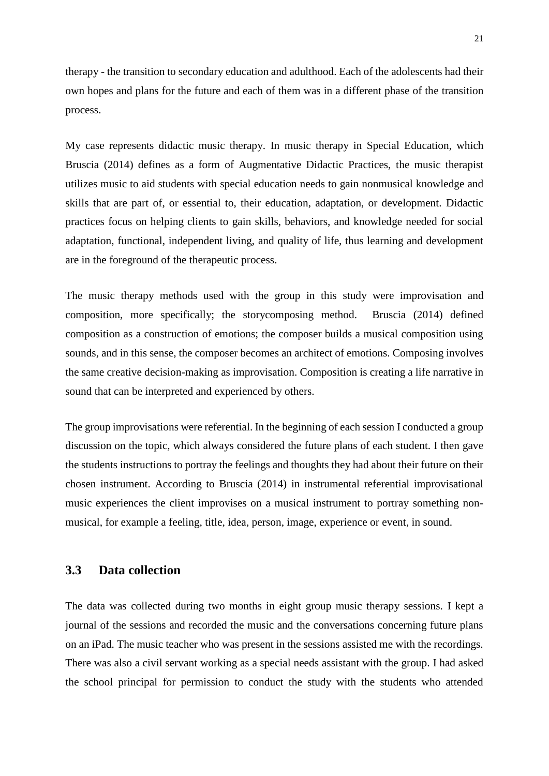therapy - the transition to secondary education and adulthood. Each of the adolescents had their own hopes and plans for the future and each of them was in a different phase of the transition process.

My case represents didactic music therapy. In music therapy in Special Education, which Bruscia (2014) defines as a form of Augmentative Didactic Practices, the music therapist utilizes music to aid students with special education needs to gain nonmusical knowledge and skills that are part of, or essential to, their education, adaptation, or development. Didactic practices focus on helping clients to gain skills, behaviors, and knowledge needed for social adaptation, functional, independent living, and quality of life, thus learning and development are in the foreground of the therapeutic process.

The music therapy methods used with the group in this study were improvisation and composition, more specifically; the storycomposing method. Bruscia (2014) defined composition as a construction of emotions; the composer builds a musical composition using sounds, and in this sense, the composer becomes an architect of emotions. Composing involves the same creative decision-making as improvisation. Composition is creating a life narrative in sound that can be interpreted and experienced by others.

The group improvisations were referential. In the beginning of each session I conducted a group discussion on the topic, which always considered the future plans of each student. I then gave the students instructions to portray the feelings and thoughts they had about their future on their chosen instrument. According to Bruscia (2014) in instrumental referential improvisational music experiences the client improvises on a musical instrument to portray something nonmusical, for example a feeling, title, idea, person, image, experience or event, in sound.

## **3.3 Data collection**

The data was collected during two months in eight group music therapy sessions. I kept a journal of the sessions and recorded the music and the conversations concerning future plans on an iPad. The music teacher who was present in the sessions assisted me with the recordings. There was also a civil servant working as a special needs assistant with the group. I had asked the school principal for permission to conduct the study with the students who attended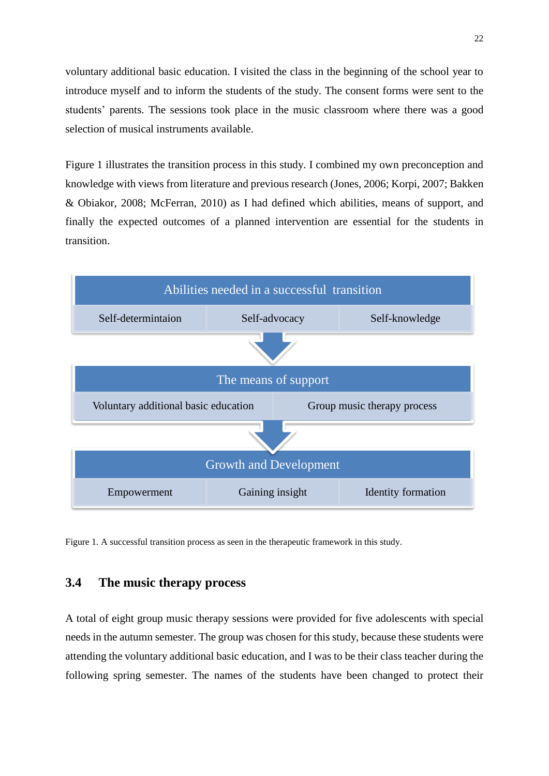voluntary additional basic education. I visited the class in the beginning of the school year to introduce myself and to inform the students of the study. The consent forms were sent to the students' parents. The sessions took place in the music classroom where there was a good selection of musical instruments available.

Figure 1 illustrates the transition process in this study. I combined my own preconception and knowledge with views from literature and previous research (Jones, 2006; Korpi, 2007; Bakken & Obiakor, 2008; McFerran, 2010) as I had defined which abilities, means of support, and finally the expected outcomes of a planned intervention are essential for the students in transition.



Figure 1*.* A successful transition process as seen in the therapeutic framework in this study.

## **3.4 The music therapy process**

A total of eight group music therapy sessions were provided for five adolescents with special needs in the autumn semester. The group was chosen for this study, because these students were attending the voluntary additional basic education, and I was to be their class teacher during the following spring semester. The names of the students have been changed to protect their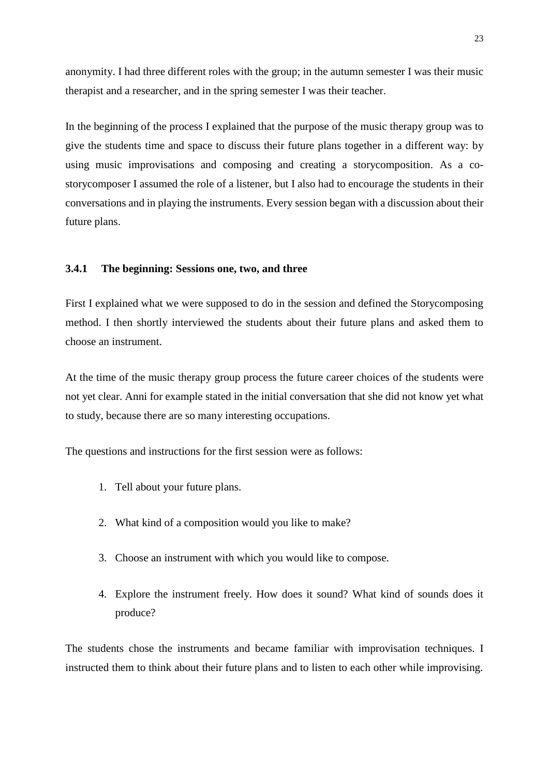anonymity. I had three different roles with the group; in the autumn semester I was their music therapist and a researcher, and in the spring semester I was their teacher.

In the beginning of the process I explained that the purpose of the music therapy group was to give the students time and space to discuss their future plans together in a different way: by using music improvisations and composing and creating a storycomposition. As a costorycomposer I assumed the role of a listener, but I also had to encourage the students in their conversations and in playing the instruments. Every session began with a discussion about their future plans.

#### **3.4.1 The beginning: Sessions one, two, and three**

First I explained what we were supposed to do in the session and defined the Storycomposing method. I then shortly interviewed the students about their future plans and asked them to choose an instrument.

At the time of the music therapy group process the future career choices of the students were not yet clear. Anni for example stated in the initial conversation that she did not know yet what to study, because there are so many interesting occupations.

The questions and instructions for the first session were as follows:

- 1. Tell about your future plans.
- 2. What kind of a composition would you like to make?
- 3. Choose an instrument with which you would like to compose.
- 4. Explore the instrument freely. How does it sound? What kind of sounds does it produce?

The students chose the instruments and became familiar with improvisation techniques. I instructed them to think about their future plans and to listen to each other while improvising.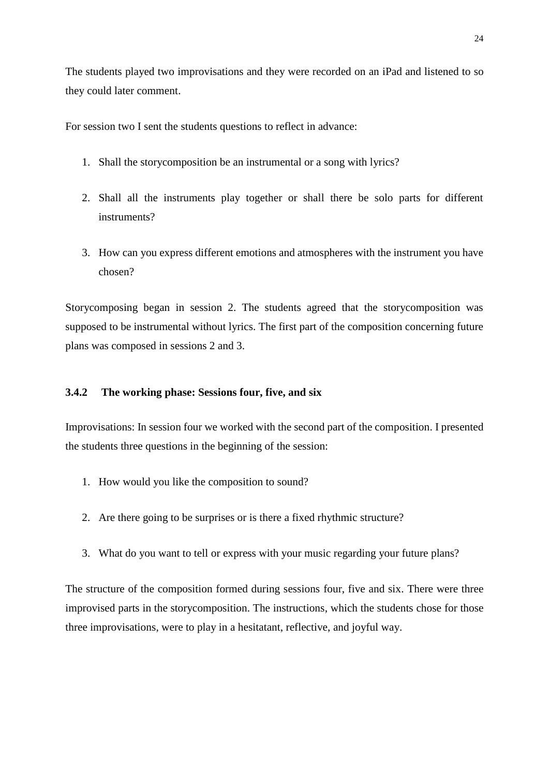The students played two improvisations and they were recorded on an iPad and listened to so they could later comment.

For session two I sent the students questions to reflect in advance:

- 1. Shall the storycomposition be an instrumental or a song with lyrics?
- 2. Shall all the instruments play together or shall there be solo parts for different instruments?
- 3. How can you express different emotions and atmospheres with the instrument you have chosen?

Storycomposing began in session 2. The students agreed that the storycomposition was supposed to be instrumental without lyrics. The first part of the composition concerning future plans was composed in sessions 2 and 3.

## **3.4.2 The working phase: Sessions four, five, and six**

Improvisations: In session four we worked with the second part of the composition. I presented the students three questions in the beginning of the session:

- 1. How would you like the composition to sound?
- 2. Are there going to be surprises or is there a fixed rhythmic structure?
- 3. What do you want to tell or express with your music regarding your future plans?

The structure of the composition formed during sessions four, five and six. There were three improvised parts in the storycomposition. The instructions, which the students chose for those three improvisations, were to play in a hesitatant, reflective, and joyful way.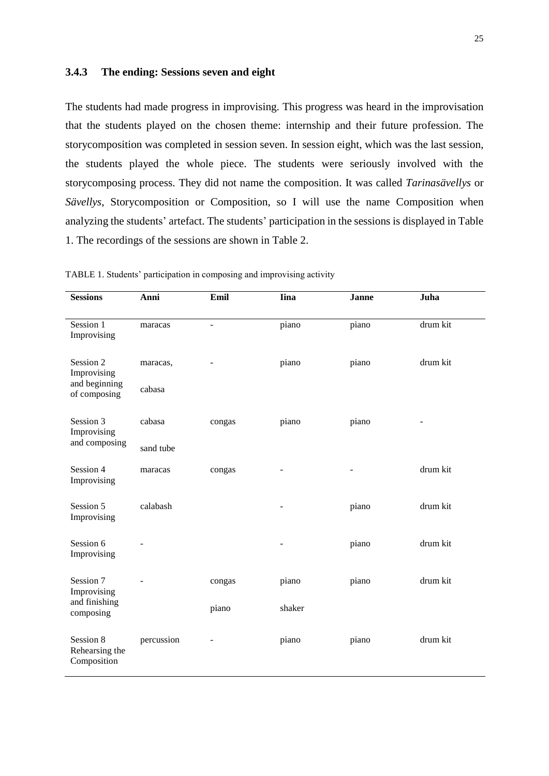#### **3.4.3 The ending: Sessions seven and eight**

The students had made progress in improvising. This progress was heard in the improvisation that the students played on the chosen theme: internship and their future profession. The storycomposition was completed in session seven. In session eight, which was the last session, the students played the whole piece. The students were seriously involved with the storycomposing process. They did not name the composition. It was called *Tarinasävellys* or *Sävellys*, Storycomposition or Composition, so I will use the name Composition when analyzing the students' artefact. The students' participation in the sessions is displayed in Table 1. The recordings of the sessions are shown in Table 2.

| <b>Sessions</b>                                           | Anni               | Emil                     | <b>Iina</b> | <b>Janne</b> | Juha     |
|-----------------------------------------------------------|--------------------|--------------------------|-------------|--------------|----------|
| Session 1<br>Improvising                                  | maracas            | $\overline{\phantom{a}}$ | piano       | piano        | drum kit |
| Session 2<br>Improvising<br>and beginning<br>of composing | maracas,<br>cabasa |                          | piano       | piano        | drum kit |
| Session 3<br>Improvising                                  | cabasa             | congas                   | piano       | piano        |          |
| and composing                                             | sand tube          |                          |             |              |          |
| Session 4<br>Improvising                                  | maracas            | congas                   |             |              | drum kit |
| Session 5<br>Improvising                                  | calabash           |                          |             | piano        | drum kit |
| Session 6<br>Improvising                                  |                    |                          |             | piano        | drum kit |
| Session 7<br>Improvising                                  |                    | congas                   | piano       | piano        | drum kit |
| and finishing<br>composing                                |                    | piano                    | shaker      |              |          |
| Session 8<br>Rehearsing the<br>Composition                | percussion         |                          | piano       | piano        | drum kit |

TABLE 1. Students' participation in composing and improvising activity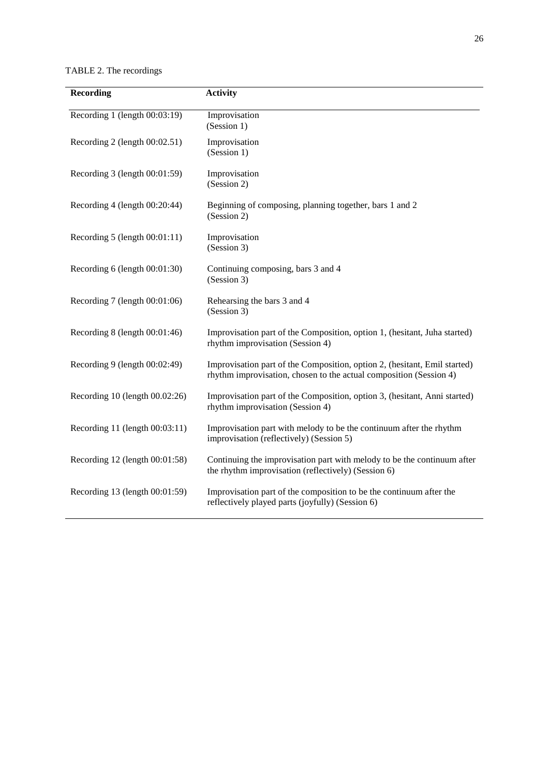TABLE 2. The recordings

| <b>Recording</b>                   | <b>Activity</b>                                                                                                                                 |
|------------------------------------|-------------------------------------------------------------------------------------------------------------------------------------------------|
| Recording 1 (length 00:03:19)      | Improvisation<br>(Session 1)                                                                                                                    |
| Recording 2 (length $00:02.51$ )   | Improvisation<br>(Session 1)                                                                                                                    |
| Recording 3 (length 00:01:59)      | Improvisation<br>(Session 2)                                                                                                                    |
| Recording 4 (length 00:20:44)      | Beginning of composing, planning together, bars 1 and 2<br>(Session 2)                                                                          |
| Recording 5 (length 00:01:11)      | Improvisation<br>(Session 3)                                                                                                                    |
| Recording 6 (length 00:01:30)      | Continuing composing, bars 3 and 4<br>(Session 3)                                                                                               |
| Recording $7$ (length $00:01:06$ ) | Rehearsing the bars 3 and 4<br>(Session 3)                                                                                                      |
| Recording $8$ (length $00:01:46$ ) | Improvisation part of the Composition, option 1, (hesitant, Juha started)<br>rhythm improvisation (Session 4)                                   |
| Recording 9 (length 00:02:49)      | Improvisation part of the Composition, option 2, (hesitant, Emil started)<br>rhythm improvisation, chosen to the actual composition (Session 4) |
| Recording 10 (length 00.02:26)     | Improvisation part of the Composition, option 3, (hesitant, Anni started)<br>rhythm improvisation (Session 4)                                   |
| Recording 11 (length 00:03:11)     | Improvisation part with melody to be the continuum after the rhythm<br>improvisation (reflectively) (Session 5)                                 |
| Recording 12 (length 00:01:58)     | Continuing the improvisation part with melody to be the continuum after<br>the rhythm improvisation (reflectively) (Session 6)                  |
| Recording 13 (length 00:01:59)     | Improvisation part of the composition to be the continuum after the<br>reflectively played parts (joyfully) (Session 6)                         |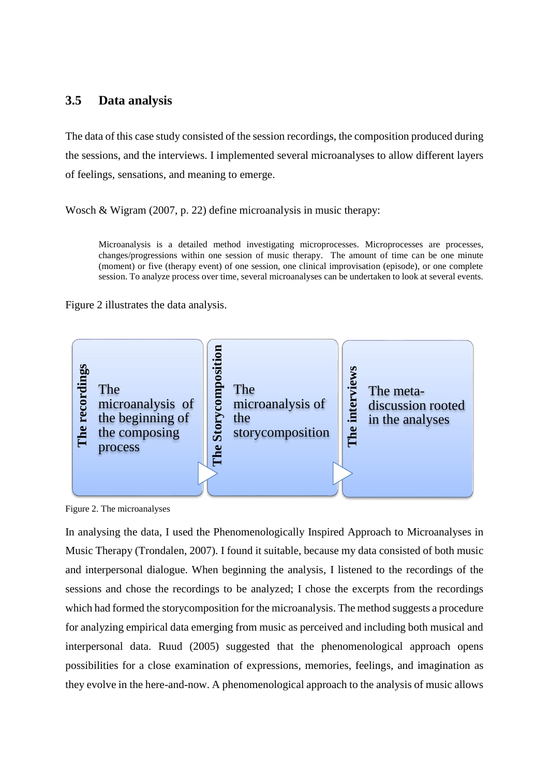## **3.5 Data analysis**

The data of this case study consisted of the session recordings, the composition produced during the sessions, and the interviews. I implemented several microanalyses to allow different layers of feelings, sensations, and meaning to emerge.

Wosch & Wigram (2007, p. 22) define microanalysis in music therapy:

Microanalysis is a detailed method investigating microprocesses. Microprocesses are processes, changes/progressions within one session of music therapy. The amount of time can be one minute (moment) or five (therapy event) of one session, one clinical improvisation (episode), or one complete session. To analyze process over time, several microanalyses can be undertaken to look at several events.

Figure 2 illustrates the data analysis.



Figure 2. The microanalyses

In analysing the data, I used the Phenomenologically Inspired Approach to Microanalyses in Music Therapy (Trondalen, 2007). I found it suitable, because my data consisted of both music and interpersonal dialogue. When beginning the analysis, I listened to the recordings of the sessions and chose the recordings to be analyzed; I chose the excerpts from the recordings which had formed the storycomposition for the microanalysis. The method suggests a procedure for analyzing empirical data emerging from music as perceived and including both musical and interpersonal data. Ruud (2005) suggested that the phenomenological approach opens possibilities for a close examination of expressions, memories, feelings, and imagination as The<br>
Entertoanalysis of<br>
Entertoanalysis of<br>
Entertoanalysis of<br>
the beginning of<br>
the composing<br>
The meta-<br>
Entertoanalysis of<br>
The meta-<br>
Fragme 2. The microanalyses<br>
The meta-<br>
Fragme 2. The microanalyses<br>
The storycomp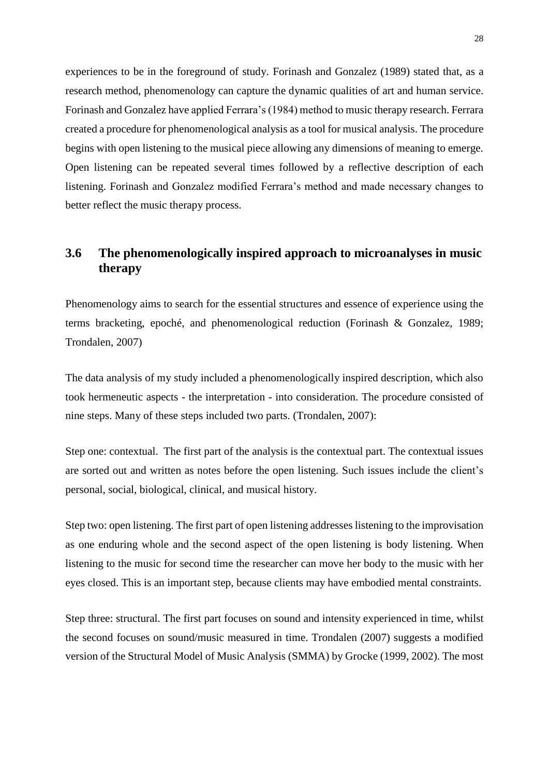experiences to be in the foreground of study. Forinash and Gonzalez (1989) stated that, as a research method, phenomenology can capture the dynamic qualities of art and human service. Forinash and Gonzalez have applied Ferrara's (1984) method to music therapy research. Ferrara created a procedure for phenomenological analysis as a tool for musical analysis. The procedure begins with open listening to the musical piece allowing any dimensions of meaning to emerge. Open listening can be repeated several times followed by a reflective description of each listening. Forinash and Gonzalez modified Ferrara's method and made necessary changes to better reflect the music therapy process.

## **3.6 The phenomenologically inspired approach to microanalyses in music therapy**

Phenomenology aims to search for the essential structures and essence of experience using the terms bracketing, epoché, and phenomenological reduction (Forinash & Gonzalez, 1989; Trondalen, 2007)

The data analysis of my study included a phenomenologically inspired description, which also took hermeneutic aspects - the interpretation - into consideration. The procedure consisted of nine steps. Many of these steps included two parts. (Trondalen, 2007):

Step one: contextual. The first part of the analysis is the contextual part. The contextual issues are sorted out and written as notes before the open listening. Such issues include the client's personal, social, biological, clinical, and musical history.

Step two: open listening. The first part of open listening addresses listening to the improvisation as one enduring whole and the second aspect of the open listening is body listening. When listening to the music for second time the researcher can move her body to the music with her eyes closed. This is an important step, because clients may have embodied mental constraints.

Step three: structural. The first part focuses on sound and intensity experienced in time, whilst the second focuses on sound/music measured in time. Trondalen (2007) suggests a modified version of the Structural Model of Music Analysis (SMMA) by Grocke (1999, 2002). The most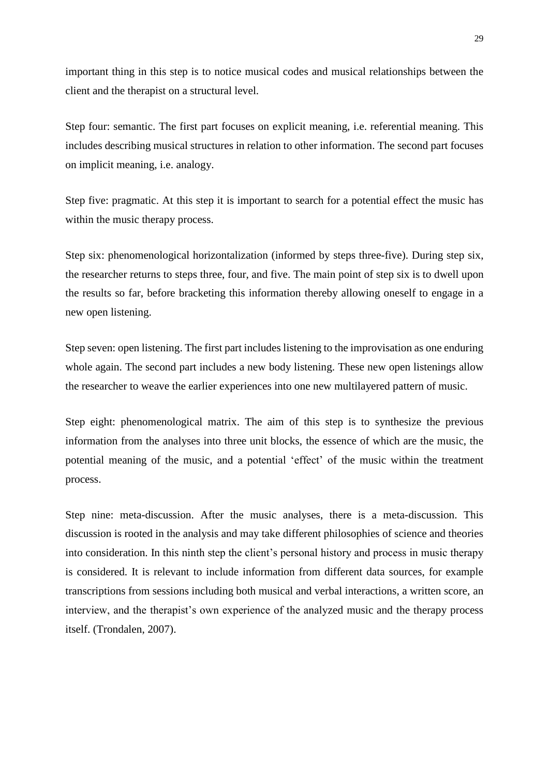important thing in this step is to notice musical codes and musical relationships between the client and the therapist on a structural level.

Step four: semantic. The first part focuses on explicit meaning, i.e. referential meaning. This includes describing musical structures in relation to other information. The second part focuses on implicit meaning, i.e. analogy.

Step five: pragmatic. At this step it is important to search for a potential effect the music has within the music therapy process.

Step six: phenomenological horizontalization (informed by steps three-five). During step six, the researcher returns to steps three, four, and five. The main point of step six is to dwell upon the results so far, before bracketing this information thereby allowing oneself to engage in a new open listening.

Step seven: open listening. The first part includes listening to the improvisation as one enduring whole again. The second part includes a new body listening. These new open listenings allow the researcher to weave the earlier experiences into one new multilayered pattern of music.

Step eight: phenomenological matrix. The aim of this step is to synthesize the previous information from the analyses into three unit blocks, the essence of which are the music, the potential meaning of the music, and a potential 'effect' of the music within the treatment process.

Step nine: meta-discussion. After the music analyses, there is a meta-discussion. This discussion is rooted in the analysis and may take different philosophies of science and theories into consideration. In this ninth step the client's personal history and process in music therapy is considered. It is relevant to include information from different data sources, for example transcriptions from sessions including both musical and verbal interactions, a written score, an interview, and the therapist's own experience of the analyzed music and the therapy process itself. (Trondalen, 2007).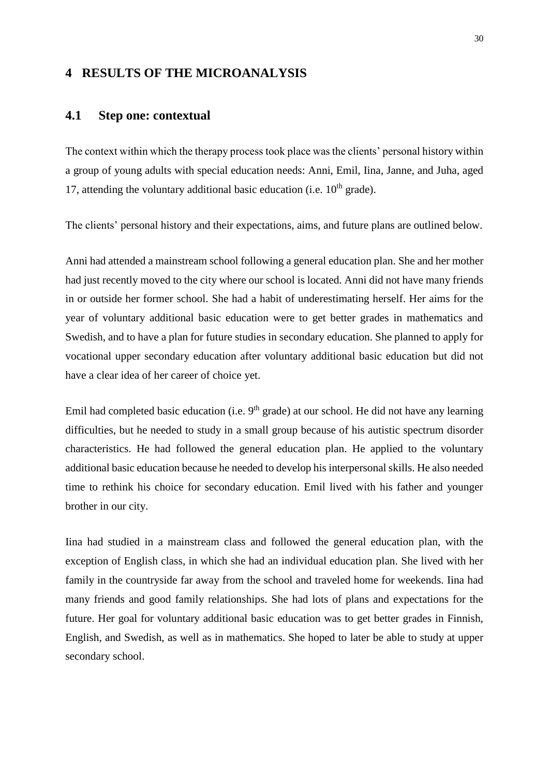## **4 RESULTS OF THE MICROANALYSIS**

#### **4.1 Step one: contextual**

The context within which the therapy process took place was the clients' personal history within a group of young adults with special education needs: Anni, Emil, Iina, Janne, and Juha, aged 17, attending the voluntary additional basic education (i.e.  $10<sup>th</sup>$  grade).

The clients' personal history and their expectations, aims, and future plans are outlined below.

Anni had attended a mainstream school following a general education plan. She and her mother had just recently moved to the city where our school is located. Anni did not have many friends in or outside her former school. She had a habit of underestimating herself. Her aims for the year of voluntary additional basic education were to get better grades in mathematics and Swedish, and to have a plan for future studies in secondary education. She planned to apply for vocational upper secondary education after voluntary additional basic education but did not have a clear idea of her career of choice yet.

Emil had completed basic education (i.e.  $9<sup>th</sup>$  grade) at our school. He did not have any learning difficulties, but he needed to study in a small group because of his autistic spectrum disorder characteristics. He had followed the general education plan. He applied to the voluntary additional basic education because he needed to develop his interpersonal skills. He also needed time to rethink his choice for secondary education. Emil lived with his father and younger brother in our city.

Iina had studied in a mainstream class and followed the general education plan, with the exception of English class, in which she had an individual education plan. She lived with her family in the countryside far away from the school and traveled home for weekends. Iina had many friends and good family relationships. She had lots of plans and expectations for the future. Her goal for voluntary additional basic education was to get better grades in Finnish, English, and Swedish, as well as in mathematics. She hoped to later be able to study at upper secondary school.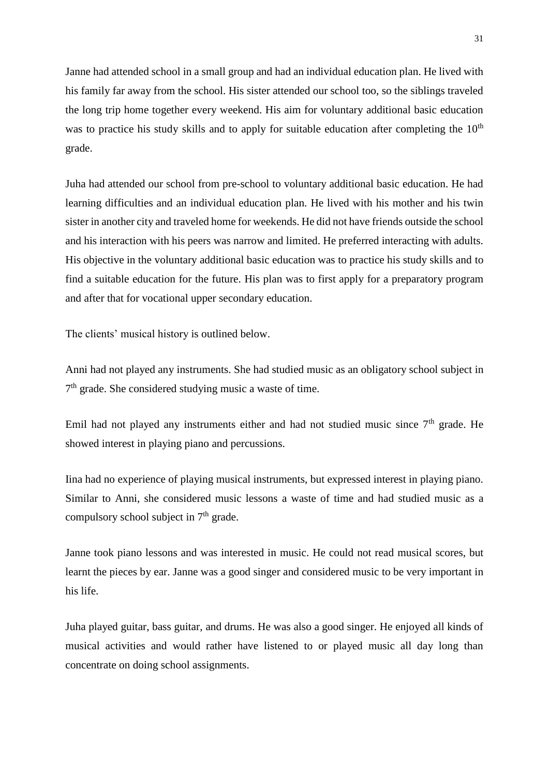Janne had attended school in a small group and had an individual education plan. He lived with his family far away from the school. His sister attended our school too, so the siblings traveled the long trip home together every weekend. His aim for voluntary additional basic education was to practice his study skills and to apply for suitable education after completing the  $10<sup>th</sup>$ grade.

Juha had attended our school from pre-school to voluntary additional basic education. He had learning difficulties and an individual education plan. He lived with his mother and his twin sister in another city and traveled home for weekends. He did not have friends outside the school and his interaction with his peers was narrow and limited. He preferred interacting with adults. His objective in the voluntary additional basic education was to practice his study skills and to find a suitable education for the future. His plan was to first apply for a preparatory program and after that for vocational upper secondary education.

The clients' musical history is outlined below.

Anni had not played any instruments. She had studied music as an obligatory school subject in 7<sup>th</sup> grade. She considered studying music a waste of time.

Emil had not played any instruments either and had not studied music since  $7<sup>th</sup>$  grade. He showed interest in playing piano and percussions.

Iina had no experience of playing musical instruments, but expressed interest in playing piano. Similar to Anni, she considered music lessons a waste of time and had studied music as a compulsory school subject in  $7<sup>th</sup>$  grade.

Janne took piano lessons and was interested in music. He could not read musical scores, but learnt the pieces by ear. Janne was a good singer and considered music to be very important in his life.

Juha played guitar, bass guitar, and drums. He was also a good singer. He enjoyed all kinds of musical activities and would rather have listened to or played music all day long than concentrate on doing school assignments.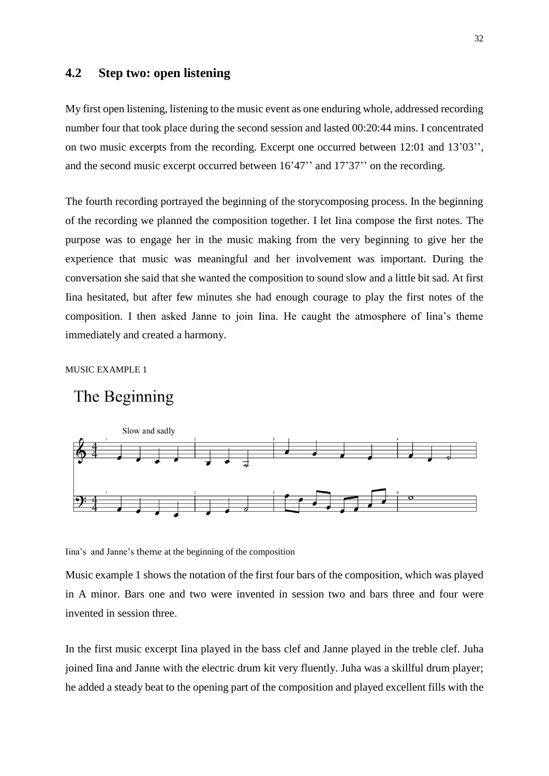## **4.2 Step two: open listening**

My first open listening, listening to the music event as one enduring whole, addressed recording number four that took place during the second session and lasted 00:20:44 mins. I concentrated on two music excerpts from the recording. Excerpt one occurred between 12:01 and 13'03'', and the second music excerpt occurred between 16'47'' and 17'37'' on the recording.

The fourth recording portrayed the beginning of the storycomposing process. In the beginning of the recording we planned the composition together. I let Iina compose the first notes. The purpose was to engage her in the music making from the very beginning to give her the experience that music was meaningful and her involvement was important. During the conversation she said that she wanted the composition to sound slow and a little bit sad. At first Iina hesitated, but after few minutes she had enough courage to play the first notes of the composition. I then asked Janne to join Iina. He caught the atmosphere of Iina's theme immediately and created a harmony.

MUSIC EXAMPLE 1

## The Beginning



Iina's and Janne's theme at the beginning of the composition

Music example 1 shows the notation of the first four bars of the composition, which was played in A minor. Bars one and two were invented in session two and bars three and four were invented in session three.

In the first music excerpt Iina played in the bass clef and Janne played in the treble clef. Juha joined Iina and Janne with the electric drum kit very fluently. Juha was a skillful drum player; he added a steady beat to the opening part of the composition and played excellent fills with the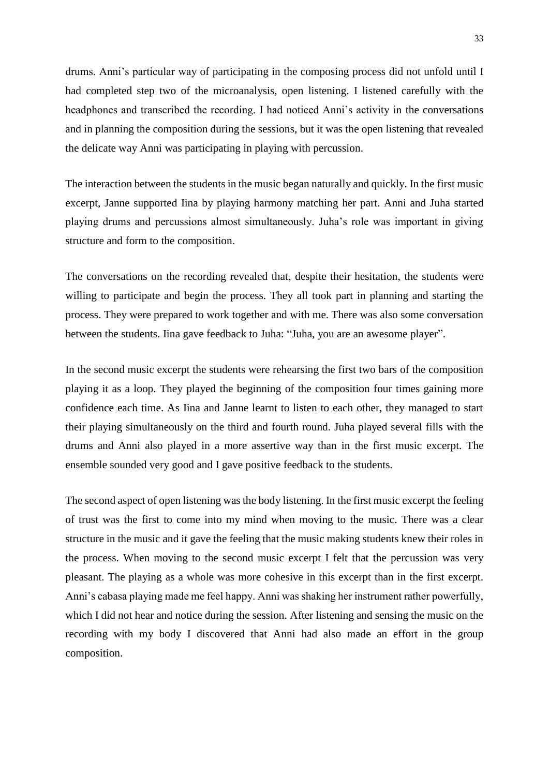drums. Anni's particular way of participating in the composing process did not unfold until I had completed step two of the microanalysis, open listening. I listened carefully with the headphones and transcribed the recording. I had noticed Anni's activity in the conversations and in planning the composition during the sessions, but it was the open listening that revealed the delicate way Anni was participating in playing with percussion.

The interaction between the students in the music began naturally and quickly. In the first music excerpt, Janne supported Iina by playing harmony matching her part. Anni and Juha started playing drums and percussions almost simultaneously. Juha's role was important in giving structure and form to the composition.

The conversations on the recording revealed that, despite their hesitation, the students were willing to participate and begin the process. They all took part in planning and starting the process. They were prepared to work together and with me. There was also some conversation between the students. Iina gave feedback to Juha: "Juha, you are an awesome player".

In the second music excerpt the students were rehearsing the first two bars of the composition playing it as a loop. They played the beginning of the composition four times gaining more confidence each time. As Iina and Janne learnt to listen to each other, they managed to start their playing simultaneously on the third and fourth round. Juha played several fills with the drums and Anni also played in a more assertive way than in the first music excerpt. The ensemble sounded very good and I gave positive feedback to the students.

The second aspect of open listening was the body listening. In the first music excerpt the feeling of trust was the first to come into my mind when moving to the music. There was a clear structure in the music and it gave the feeling that the music making students knew their roles in the process. When moving to the second music excerpt I felt that the percussion was very pleasant. The playing as a whole was more cohesive in this excerpt than in the first excerpt. Anni's cabasa playing made me feel happy. Anni was shaking her instrument rather powerfully, which I did not hear and notice during the session. After listening and sensing the music on the recording with my body I discovered that Anni had also made an effort in the group composition.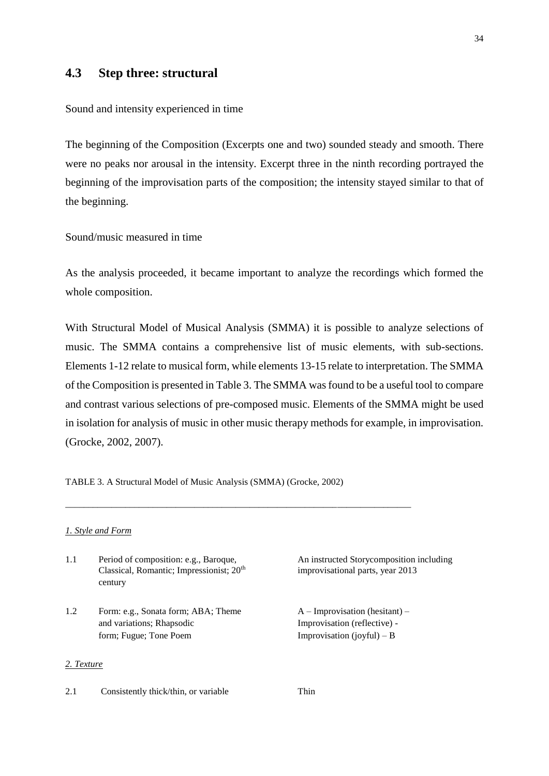## **4.3 Step three: structural**

Sound and intensity experienced in time

The beginning of the Composition (Excerpts one and two) sounded steady and smooth. There were no peaks nor arousal in the intensity. Excerpt three in the ninth recording portrayed the beginning of the improvisation parts of the composition; the intensity stayed similar to that of the beginning.

Sound/music measured in time

As the analysis proceeded, it became important to analyze the recordings which formed the whole composition.

With Structural Model of Musical Analysis (SMMA) it is possible to analyze selections of music. The SMMA contains a comprehensive list of music elements, with sub-sections. Elements 1-12 relate to musical form, while elements 13-15 relate to interpretation. The SMMA of the Composition is presented in Table 3. The SMMA was found to be a useful tool to compare and contrast various selections of pre-composed music. Elements of the SMMA might be used in isolation for analysis of music in other music therapy methods for example, in improvisation. (Grocke, 2002, 2007).

TABLE 3. A Structural Model of Music Analysis (SMMA) (Grocke, 2002)

\_\_\_\_\_\_\_\_\_\_\_\_\_\_\_\_\_\_\_\_\_\_\_\_\_\_\_\_\_\_\_\_\_\_\_\_\_\_\_\_\_\_\_\_\_\_\_\_\_\_\_\_\_\_\_\_\_\_\_\_\_\_\_\_\_\_\_\_\_\_\_\_\_\_\_

#### *1. Style and Form*

- 1.1 Period of composition: e.g., Baroque, An instructed Storycomposition including Classical, Romantic; Impressionist; 20th century
- 1.2 Form: e.g., Sonata form; ABA; Theme  $A Improvisation$  (hesitant) and variations; Rhapsodic Improvisation (reflective) form; Fugue; Tone Poem Improvisation (joyful) – B

#### *2. Texture*

2.1 Consistently thick/thin, or variable Thin

improvisational parts, year 2013

34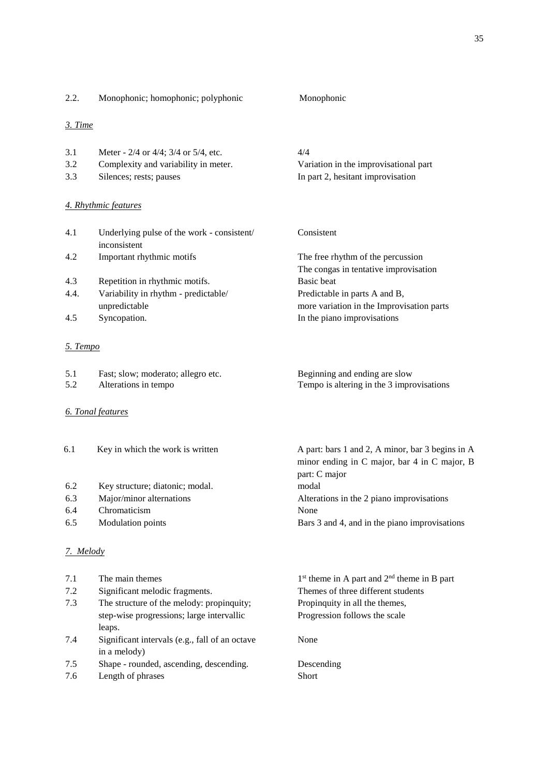| 2.2.       | Monophonic; homophonic; polyphonic                         | Monophonic                                                                 |
|------------|------------------------------------------------------------|----------------------------------------------------------------------------|
| 3. Time    |                                                            |                                                                            |
| 3.1        | Meter - 2/4 or 4/4; 3/4 or 5/4, etc.                       | 4/4                                                                        |
| 3.2        | Complexity and variability in meter.                       | Variation in the improvisational part                                      |
| 3.3        | Silences; rests; pauses                                    | In part 2, hesitant improvisation                                          |
|            | 4. Rhythmic features                                       |                                                                            |
| 4.1        | Underlying pulse of the work - consistent/<br>inconsistent | Consistent                                                                 |
| 4.2        | Important rhythmic motifs                                  | The free rhythm of the percussion                                          |
|            |                                                            | The congas in tentative improvisation                                      |
| 4.3        | Repetition in rhythmic motifs.                             | <b>Basic</b> beat                                                          |
| 4.4.       | Variability in rhythm - predictable/                       | Predictable in parts A and B,                                              |
|            | unpredictable                                              | more variation in the Improvisation parts                                  |
| 4.5        | Syncopation.                                               | In the piano improvisations                                                |
| 5. Tempo   |                                                            |                                                                            |
| 5.1<br>5.2 | Fast; slow; moderato; allegro etc.<br>Alterations in tempo | Beginning and ending are slow<br>Tempo is altering in the 3 improvisations |
|            |                                                            |                                                                            |

## *6. Tonal features*

| 6.1 | Key in which the work is written | A part: bars 1 and 2, A minor, bar 3 begins in A |
|-----|----------------------------------|--------------------------------------------------|
|     |                                  | minor ending in C major, bar 4 in C major, B     |
|     |                                  | part: C major                                    |
| 6.2 | Key structure; diatonic; modal.  | modal                                            |
| 6.3 | Major/minor alternations         | Alterations in the 2 piano improvisations        |
| 6.4 | Chromaticism                     | None                                             |
| 6.5 | <b>Modulation</b> points         | Bars 3 and 4, and in the piano improvisations    |
|     |                                  |                                                  |
|     |                                  |                                                  |

## *7. Melody*

| 7.1 | The main themes                                | $1st$ theme in A part and $2nd$ theme in B part |
|-----|------------------------------------------------|-------------------------------------------------|
| 7.2 | Significant melodic fragments.                 | Themes of three different students              |
| 7.3 | The structure of the melody: propinquity;      | Propinguity in all the themes,                  |
|     | step-wise progressions; large intervallic      | Progression follows the scale                   |
|     | leaps.                                         |                                                 |
| 7.4 | Significant intervals (e.g., fall of an octave | None                                            |
|     | in a melody)                                   |                                                 |
| 7.5 | Shape - rounded, ascending, descending.        | Descending                                      |
| 7.6 | Length of phrases                              | <b>Short</b>                                    |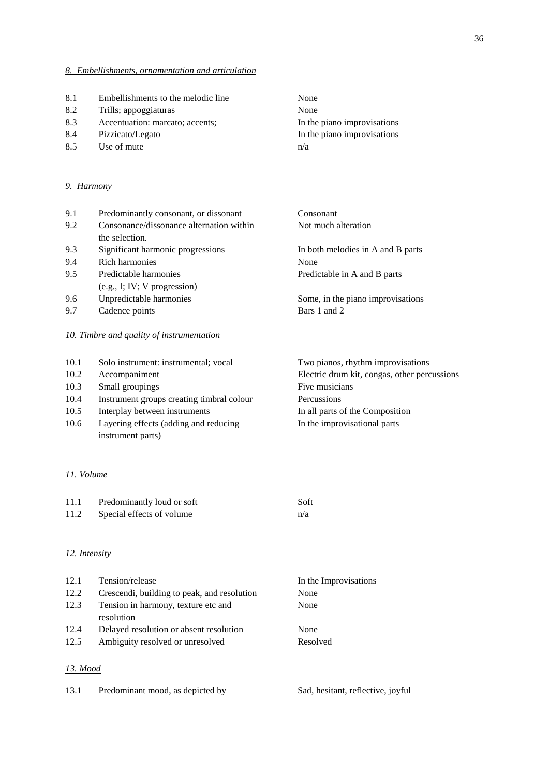#### *8. Embellishments, ornamentation and articulation*

- 8.1 Embellishments to the melodic line None
- 8.2 Trills; appoggiaturas None
- 8.3 Accentuation: marcato; accents; In the piano improvisations
- 8.4 Pizzicato/Legato In the piano improvisations
- 8.5 Use of mute n/a

#### *9. Harmony*

| 9.1  | Predominantly consonant, or dissonant     | Consonant                                    |
|------|-------------------------------------------|----------------------------------------------|
| 9.2  | Consonance/dissonance alternation within  | Not much alteration                          |
|      | the selection.                            |                                              |
| 9.3  | Significant harmonic progressions         | In both melodies in A and B parts            |
| 9.4  | Rich harmonies                            | None                                         |
| 9.5  | Predictable harmonies                     | Predictable in A and B parts                 |
|      | $(e.g., I; IV; V$ progression)            |                                              |
| 9.6  | Unpredictable harmonies                   | Some, in the piano improvisations            |
| 9.7  | Cadence points                            | Bars 1 and 2                                 |
|      | 10. Timbre and quality of instrumentation |                                              |
| 10.1 | Solo instrument: instrumental; vocal      | Two pianos, rhythm improvisations            |
| 10.2 | Accompaniment                             | Electric drum kit, congas, other percussions |

- 10.3 Small groupings Five musicians
- 10.4 Instrument groups creating timbral colour Percussions
- 10.5 Interplay between instruments In all parts of the Composition
- 10.6 Layering effects (adding and reducing In the improvisational parts instrument parts)

#### *11. Volume*

| 11.1 | Predominantly loud or soft | Soft |
|------|----------------------------|------|
| 11.2 | Special effects of volume  | n/a  |

#### *12. Intensity*

| Tension/release                                   | In the Improvisations |
|---------------------------------------------------|-----------------------|
| Crescendi, building to peak, and resolution       | None                  |
| Tension in harmony, texture etc and<br>resolution | None                  |
| Delayed resolution or absent resolution           | None                  |
| Ambiguity resolved or unresolved                  | Resolved              |
|                                                   |                       |

#### *13. Mood*

| 13.1<br>Predominant mood, as depicted by |  |  | Sad, hesitant, reflective, joyful |  |
|------------------------------------------|--|--|-----------------------------------|--|
|------------------------------------------|--|--|-----------------------------------|--|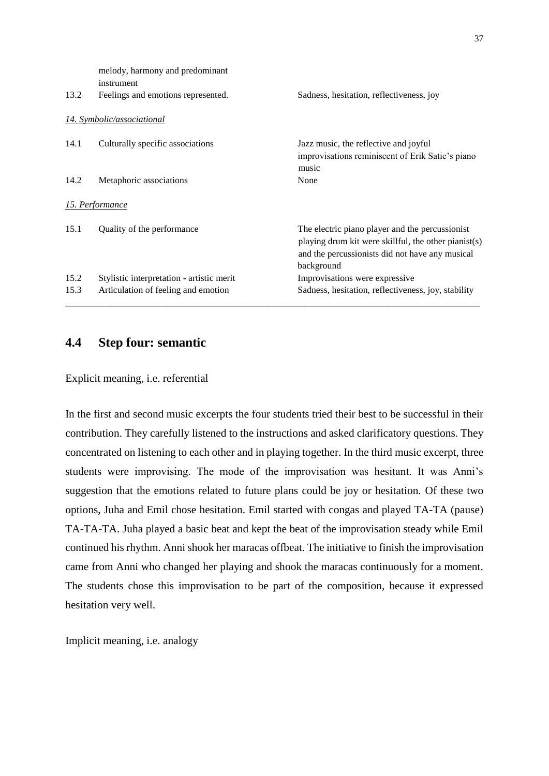|      | melody, harmony and predominant<br>instrument |                                                                                                                                                                          |
|------|-----------------------------------------------|--------------------------------------------------------------------------------------------------------------------------------------------------------------------------|
| 13.2 | Feelings and emotions represented.            | Sadness, hesitation, reflectiveness, joy                                                                                                                                 |
|      | 14. Symbolic/associational                    |                                                                                                                                                                          |
| 14.1 | Culturally specific associations              | Jazz music, the reflective and joyful<br>improvisations reminiscent of Erik Satie's piano<br>music                                                                       |
| 14.2 | Metaphoric associations                       | None                                                                                                                                                                     |
|      | <u>15. Performance</u>                        |                                                                                                                                                                          |
| 15.1 | Quality of the performance                    | The electric piano player and the percussionist<br>playing drum kit were skillful, the other pianist(s)<br>and the percussionists did not have any musical<br>background |
| 15.2 | Stylistic interpretation - artistic merit     | Improvisations were expressive.                                                                                                                                          |
| 15.3 | Articulation of feeling and emotion           | Sadness, hesitation, reflectiveness, joy, stability                                                                                                                      |

## **4.4 Step four: semantic**

Explicit meaning, i.e. referential

In the first and second music excerpts the four students tried their best to be successful in their contribution. They carefully listened to the instructions and asked clarificatory questions. They concentrated on listening to each other and in playing together. In the third music excerpt, three students were improvising. The mode of the improvisation was hesitant. It was Anni's suggestion that the emotions related to future plans could be joy or hesitation. Of these two options, Juha and Emil chose hesitation. Emil started with congas and played TA-TA (pause) TA-TA-TA. Juha played a basic beat and kept the beat of the improvisation steady while Emil continued his rhythm. Anni shook her maracas offbeat. The initiative to finish the improvisation came from Anni who changed her playing and shook the maracas continuously for a moment. The students chose this improvisation to be part of the composition, because it expressed hesitation very well.

Implicit meaning, i.e. analogy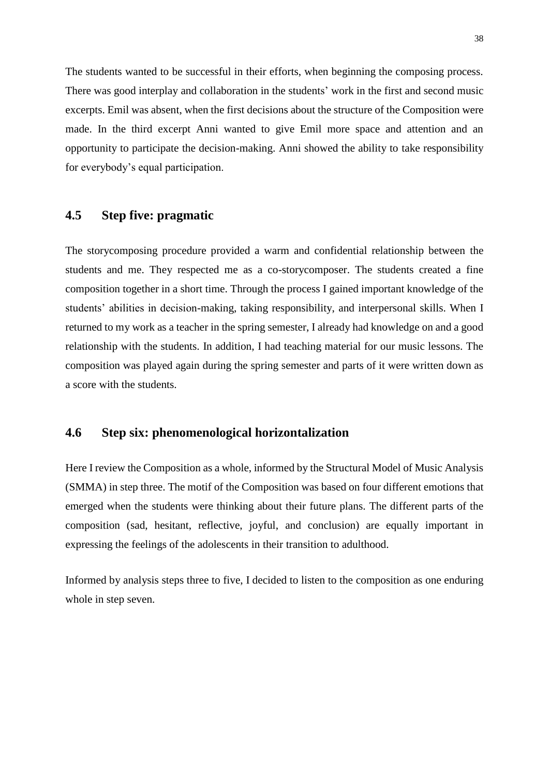The students wanted to be successful in their efforts, when beginning the composing process. There was good interplay and collaboration in the students' work in the first and second music excerpts. Emil was absent, when the first decisions about the structure of the Composition were made. In the third excerpt Anni wanted to give Emil more space and attention and an opportunity to participate the decision-making. Anni showed the ability to take responsibility for everybody's equal participation.

## **4.5 Step five: pragmatic**

The storycomposing procedure provided a warm and confidential relationship between the students and me. They respected me as a co-storycomposer. The students created a fine composition together in a short time. Through the process I gained important knowledge of the students' abilities in decision-making, taking responsibility, and interpersonal skills. When I returned to my work as a teacher in the spring semester, I already had knowledge on and a good relationship with the students. In addition, I had teaching material for our music lessons. The composition was played again during the spring semester and parts of it were written down as a score with the students.

## **4.6 Step six: phenomenological horizontalization**

Here I review the Composition as a whole, informed by the Structural Model of Music Analysis (SMMA) in step three. The motif of the Composition was based on four different emotions that emerged when the students were thinking about their future plans. The different parts of the composition (sad, hesitant, reflective, joyful, and conclusion) are equally important in expressing the feelings of the adolescents in their transition to adulthood.

Informed by analysis steps three to five, I decided to listen to the composition as one enduring whole in step seven.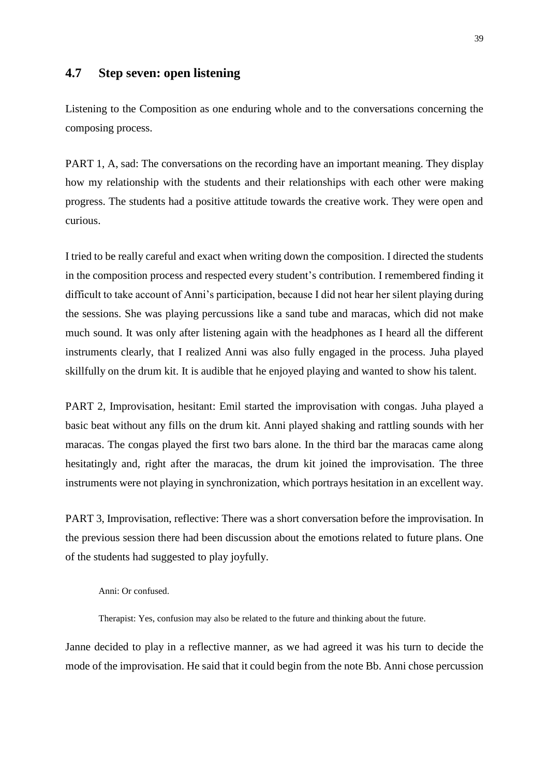## **4.7 Step seven: open listening**

Listening to the Composition as one enduring whole and to the conversations concerning the composing process.

PART 1, A, sad: The conversations on the recording have an important meaning. They display how my relationship with the students and their relationships with each other were making progress. The students had a positive attitude towards the creative work. They were open and curious.

I tried to be really careful and exact when writing down the composition. I directed the students in the composition process and respected every student's contribution. I remembered finding it difficult to take account of Anni's participation, because I did not hear her silent playing during the sessions. She was playing percussions like a sand tube and maracas, which did not make much sound. It was only after listening again with the headphones as I heard all the different instruments clearly, that I realized Anni was also fully engaged in the process. Juha played skillfully on the drum kit. It is audible that he enjoyed playing and wanted to show his talent.

PART 2, Improvisation, hesitant: Emil started the improvisation with congas. Juha played a basic beat without any fills on the drum kit. Anni played shaking and rattling sounds with her maracas. The congas played the first two bars alone. In the third bar the maracas came along hesitatingly and, right after the maracas, the drum kit joined the improvisation. The three instruments were not playing in synchronization, which portrays hesitation in an excellent way.

PART 3, Improvisation, reflective: There was a short conversation before the improvisation. In the previous session there had been discussion about the emotions related to future plans. One of the students had suggested to play joyfully.

#### Anni: Or confused.

Therapist: Yes, confusion may also be related to the future and thinking about the future.

Janne decided to play in a reflective manner, as we had agreed it was his turn to decide the mode of the improvisation. He said that it could begin from the note Bb. Anni chose percussion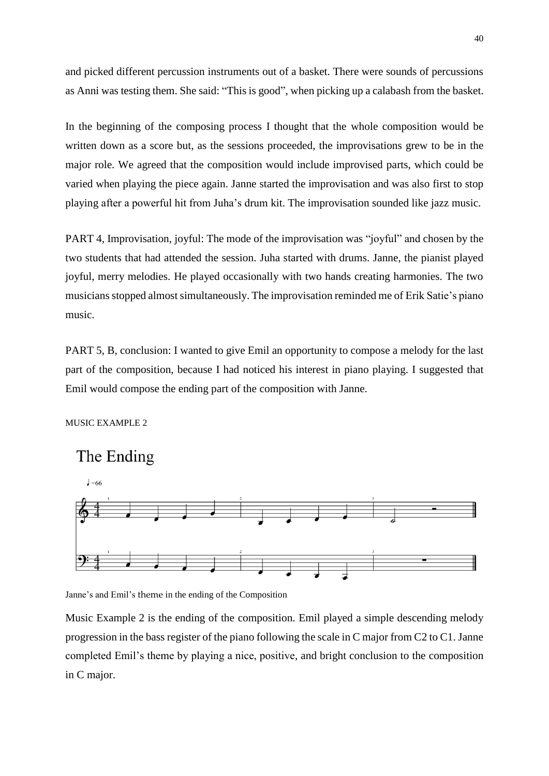and picked different percussion instruments out of a basket. There were sounds of percussions as Anni was testing them. She said: "This is good", when picking up a calabash from the basket.

In the beginning of the composing process I thought that the whole composition would be written down as a score but, as the sessions proceeded, the improvisations grew to be in the major role. We agreed that the composition would include improvised parts, which could be varied when playing the piece again. Janne started the improvisation and was also first to stop playing after a powerful hit from Juha's drum kit. The improvisation sounded like jazz music.

PART 4, Improvisation, joyful: The mode of the improvisation was "joyful" and chosen by the two students that had attended the session. Juha started with drums. Janne, the pianist played joyful, merry melodies. He played occasionally with two hands creating harmonies. The two musicians stopped almost simultaneously. The improvisation reminded me of Erik Satie's piano music.

PART 5, B, conclusion: I wanted to give Emil an opportunity to compose a melody for the last part of the composition, because I had noticed his interest in piano playing. I suggested that Emil would compose the ending part of the composition with Janne.

MUSIC EXAMPLE 2



Janne's and Emil's theme in the ending of the Composition

Music Example 2 is the ending of the composition. Emil played a simple descending melody progression in the bass register of the piano following the scale in C major from C2 to C1. Janne completed Emil's theme by playing a nice, positive, and bright conclusion to the composition in C major.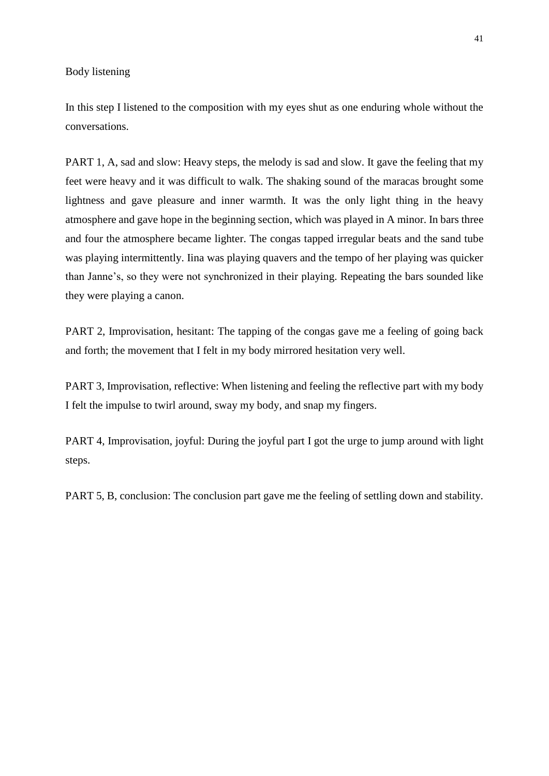Body listening

In this step I listened to the composition with my eyes shut as one enduring whole without the conversations.

PART 1, A, sad and slow: Heavy steps, the melody is sad and slow. It gave the feeling that my feet were heavy and it was difficult to walk. The shaking sound of the maracas brought some lightness and gave pleasure and inner warmth. It was the only light thing in the heavy atmosphere and gave hope in the beginning section, which was played in A minor. In bars three and four the atmosphere became lighter. The congas tapped irregular beats and the sand tube was playing intermittently. Iina was playing quavers and the tempo of her playing was quicker than Janne's, so they were not synchronized in their playing. Repeating the bars sounded like they were playing a canon.

PART 2, Improvisation, hesitant: The tapping of the congas gave me a feeling of going back and forth; the movement that I felt in my body mirrored hesitation very well.

PART 3, Improvisation, reflective: When listening and feeling the reflective part with my body I felt the impulse to twirl around, sway my body, and snap my fingers.

PART 4, Improvisation, joyful: During the joyful part I got the urge to jump around with light steps.

PART 5, B, conclusion: The conclusion part gave me the feeling of settling down and stability.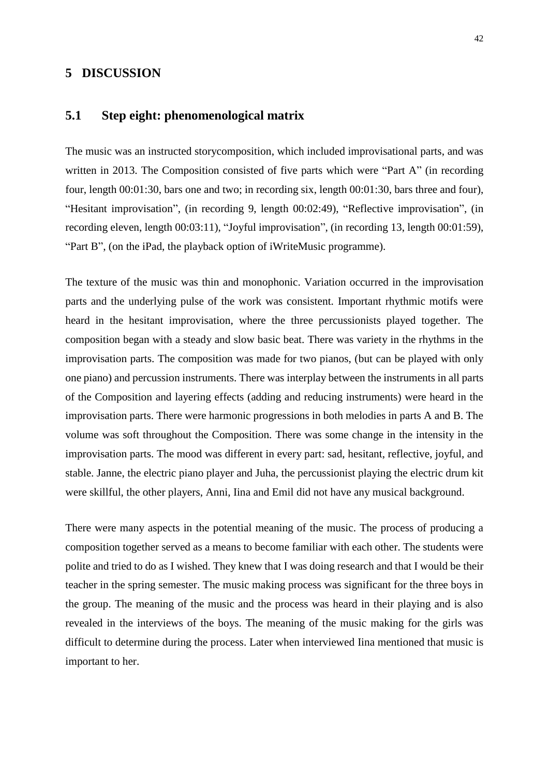### **5 DISCUSSION**

## **5.1 Step eight: phenomenological matrix**

The music was an instructed storycomposition, which included improvisational parts, and was written in 2013. The Composition consisted of five parts which were "Part A" (in recording four, length 00:01:30, bars one and two; in recording six, length 00:01:30, bars three and four), "Hesitant improvisation", (in recording 9, length 00:02:49), "Reflective improvisation", (in recording eleven, length 00:03:11), "Joyful improvisation", (in recording 13, length 00:01:59), "Part B", (on the iPad, the playback option of iWriteMusic programme).

The texture of the music was thin and monophonic. Variation occurred in the improvisation parts and the underlying pulse of the work was consistent. Important rhythmic motifs were heard in the hesitant improvisation, where the three percussionists played together. The composition began with a steady and slow basic beat. There was variety in the rhythms in the improvisation parts. The composition was made for two pianos, (but can be played with only one piano) and percussion instruments. There was interplay between the instruments in all parts of the Composition and layering effects (adding and reducing instruments) were heard in the improvisation parts. There were harmonic progressions in both melodies in parts A and B. The volume was soft throughout the Composition. There was some change in the intensity in the improvisation parts. The mood was different in every part: sad, hesitant, reflective, joyful, and stable. Janne, the electric piano player and Juha, the percussionist playing the electric drum kit were skillful, the other players, Anni, Iina and Emil did not have any musical background.

There were many aspects in the potential meaning of the music. The process of producing a composition together served as a means to become familiar with each other. The students were polite and tried to do as I wished. They knew that I was doing research and that I would be their teacher in the spring semester. The music making process was significant for the three boys in the group. The meaning of the music and the process was heard in their playing and is also revealed in the interviews of the boys. The meaning of the music making for the girls was difficult to determine during the process. Later when interviewed Iina mentioned that music is important to her.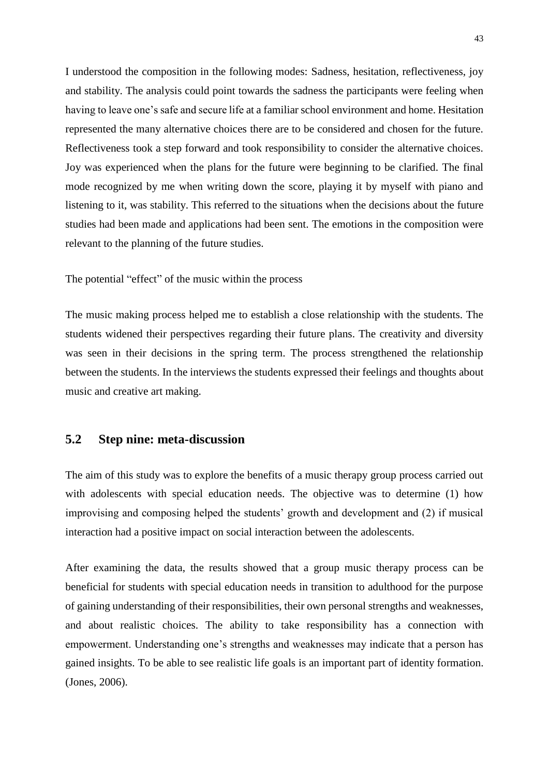I understood the composition in the following modes: Sadness, hesitation, reflectiveness, joy and stability. The analysis could point towards the sadness the participants were feeling when having to leave one's safe and secure life at a familiar school environment and home. Hesitation represented the many alternative choices there are to be considered and chosen for the future. Reflectiveness took a step forward and took responsibility to consider the alternative choices. Joy was experienced when the plans for the future were beginning to be clarified. The final mode recognized by me when writing down the score, playing it by myself with piano and listening to it, was stability. This referred to the situations when the decisions about the future studies had been made and applications had been sent. The emotions in the composition were relevant to the planning of the future studies.

The potential "effect" of the music within the process

The music making process helped me to establish a close relationship with the students. The students widened their perspectives regarding their future plans. The creativity and diversity was seen in their decisions in the spring term. The process strengthened the relationship between the students. In the interviews the students expressed their feelings and thoughts about music and creative art making.

## **5.2 Step nine: meta-discussion**

The aim of this study was to explore the benefits of a music therapy group process carried out with adolescents with special education needs. The objective was to determine (1) how improvising and composing helped the students' growth and development and (2) if musical interaction had a positive impact on social interaction between the adolescents.

After examining the data, the results showed that a group music therapy process can be beneficial for students with special education needs in transition to adulthood for the purpose of gaining understanding of their responsibilities, their own personal strengths and weaknesses, and about realistic choices. The ability to take responsibility has a connection with empowerment. Understanding one's strengths and weaknesses may indicate that a person has gained insights. To be able to see realistic life goals is an important part of identity formation. (Jones, 2006).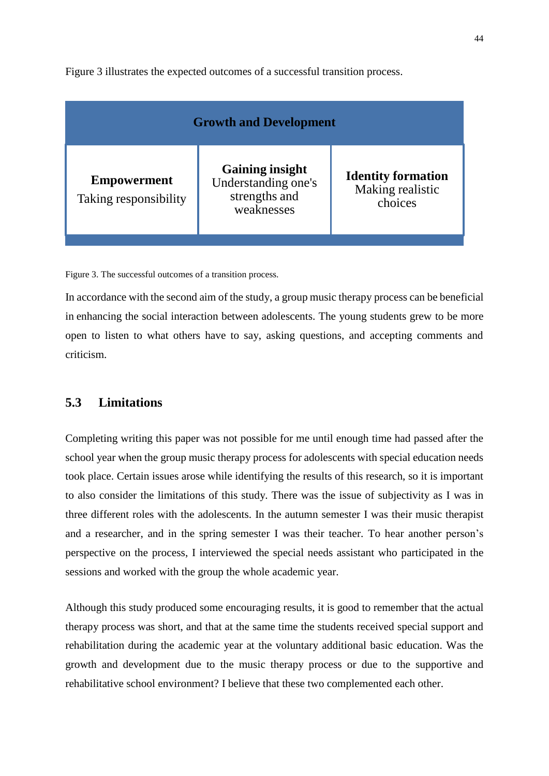Figure 3 illustrates the expected outcomes of a successful transition process.

| <b>Growth and Development</b>               |                                                                              |                                                          |
|---------------------------------------------|------------------------------------------------------------------------------|----------------------------------------------------------|
| <b>Empowerment</b><br>Taking responsibility | <b>Gaining insight</b><br>Understanding one's<br>strengths and<br>weaknesses | <b>Identity formation</b><br>Making realistic<br>choices |

Figure 3. The successful outcomes of a transition process.

In accordance with the second aim of the study, a group music therapy process can be beneficial in enhancing the social interaction between adolescents. The young students grew to be more open to listen to what others have to say, asking questions, and accepting comments and criticism.

## **5.3 Limitations**

Completing writing this paper was not possible for me until enough time had passed after the school year when the group music therapy process for adolescents with special education needs took place. Certain issues arose while identifying the results of this research, so it is important to also consider the limitations of this study. There was the issue of subjectivity as I was in three different roles with the adolescents. In the autumn semester I was their music therapist and a researcher, and in the spring semester I was their teacher. To hear another person's perspective on the process, I interviewed the special needs assistant who participated in the sessions and worked with the group the whole academic year.

Although this study produced some encouraging results, it is good to remember that the actual therapy process was short, and that at the same time the students received special support and rehabilitation during the academic year at the voluntary additional basic education. Was the growth and development due to the music therapy process or due to the supportive and rehabilitative school environment? I believe that these two complemented each other.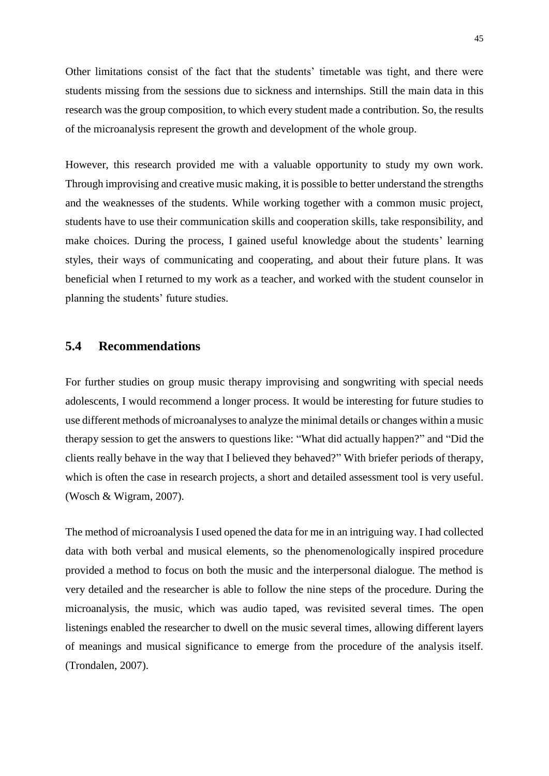Other limitations consist of the fact that the students' timetable was tight, and there were students missing from the sessions due to sickness and internships. Still the main data in this research was the group composition, to which every student made a contribution. So, the results of the microanalysis represent the growth and development of the whole group.

However, this research provided me with a valuable opportunity to study my own work. Through improvising and creative music making, it is possible to better understand the strengths and the weaknesses of the students. While working together with a common music project, students have to use their communication skills and cooperation skills, take responsibility, and make choices. During the process, I gained useful knowledge about the students' learning styles, their ways of communicating and cooperating, and about their future plans. It was beneficial when I returned to my work as a teacher, and worked with the student counselor in planning the students' future studies.

## **5.4 Recommendations**

For further studies on group music therapy improvising and songwriting with special needs adolescents, I would recommend a longer process. It would be interesting for future studies to use different methods of microanalyses to analyze the minimal details or changes within a music therapy session to get the answers to questions like: "What did actually happen?" and "Did the clients really behave in the way that I believed they behaved?" With briefer periods of therapy, which is often the case in research projects, a short and detailed assessment tool is very useful. (Wosch & Wigram, 2007).

The method of microanalysis I used opened the data for me in an intriguing way. I had collected data with both verbal and musical elements, so the phenomenologically inspired procedure provided a method to focus on both the music and the interpersonal dialogue. The method is very detailed and the researcher is able to follow the nine steps of the procedure. During the microanalysis, the music, which was audio taped, was revisited several times. The open listenings enabled the researcher to dwell on the music several times, allowing different layers of meanings and musical significance to emerge from the procedure of the analysis itself. (Trondalen, 2007).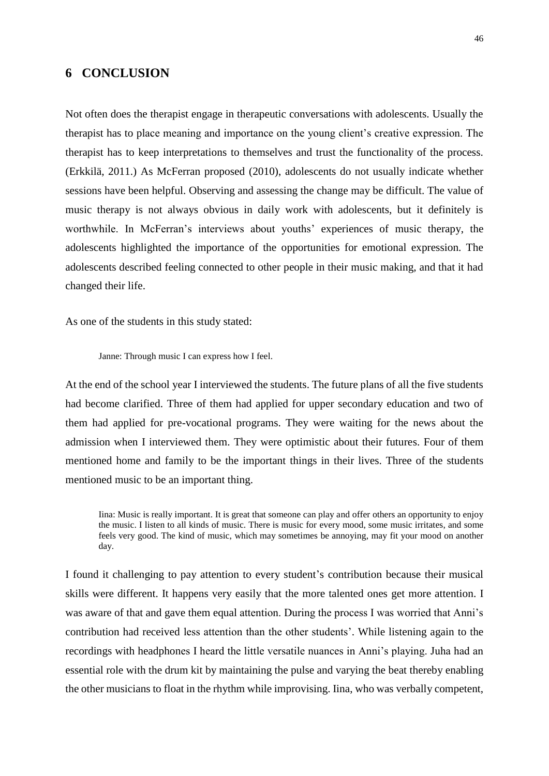## **6 CONCLUSION**

Not often does the therapist engage in therapeutic conversations with adolescents. Usually the therapist has to place meaning and importance on the young client's creative expression. The therapist has to keep interpretations to themselves and trust the functionality of the process. (Erkkilä, 2011.) As McFerran proposed (2010), adolescents do not usually indicate whether sessions have been helpful. Observing and assessing the change may be difficult. The value of music therapy is not always obvious in daily work with adolescents, but it definitely is worthwhile. In McFerran's interviews about youths' experiences of music therapy, the adolescents highlighted the importance of the opportunities for emotional expression. The adolescents described feeling connected to other people in their music making, and that it had changed their life.

As one of the students in this study stated:

Janne: Through music I can express how I feel.

At the end of the school year I interviewed the students. The future plans of all the five students had become clarified. Three of them had applied for upper secondary education and two of them had applied for pre-vocational programs. They were waiting for the news about the admission when I interviewed them. They were optimistic about their futures. Four of them mentioned home and family to be the important things in their lives. Three of the students mentioned music to be an important thing.

Iina: Music is really important. It is great that someone can play and offer others an opportunity to enjoy the music. I listen to all kinds of music. There is music for every mood, some music irritates, and some feels very good. The kind of music, which may sometimes be annoying, may fit your mood on another day.

I found it challenging to pay attention to every student's contribution because their musical skills were different. It happens very easily that the more talented ones get more attention. I was aware of that and gave them equal attention. During the process I was worried that Anni's contribution had received less attention than the other students'. While listening again to the recordings with headphones I heard the little versatile nuances in Anni's playing. Juha had an essential role with the drum kit by maintaining the pulse and varying the beat thereby enabling the other musicians to float in the rhythm while improvising. Iina, who was verbally competent,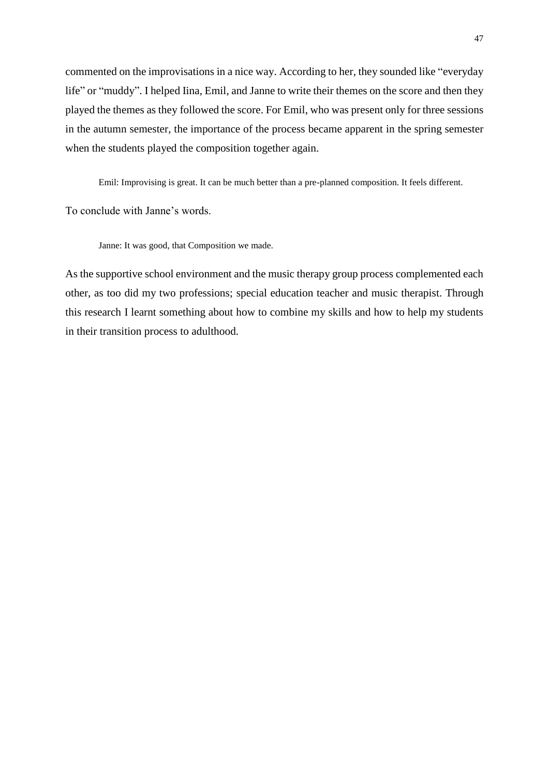commented on the improvisations in a nice way. According to her, they sounded like "everyday life" or "muddy". I helped Iina, Emil, and Janne to write their themes on the score and then they played the themes as they followed the score. For Emil, who was present only for three sessions in the autumn semester, the importance of the process became apparent in the spring semester when the students played the composition together again.

Emil: Improvising is great. It can be much better than a pre-planned composition. It feels different.

To conclude with Janne's words.

Janne: It was good, that Composition we made.

As the supportive school environment and the music therapy group process complemented each other, as too did my two professions; special education teacher and music therapist. Through this research I learnt something about how to combine my skills and how to help my students in their transition process to adulthood.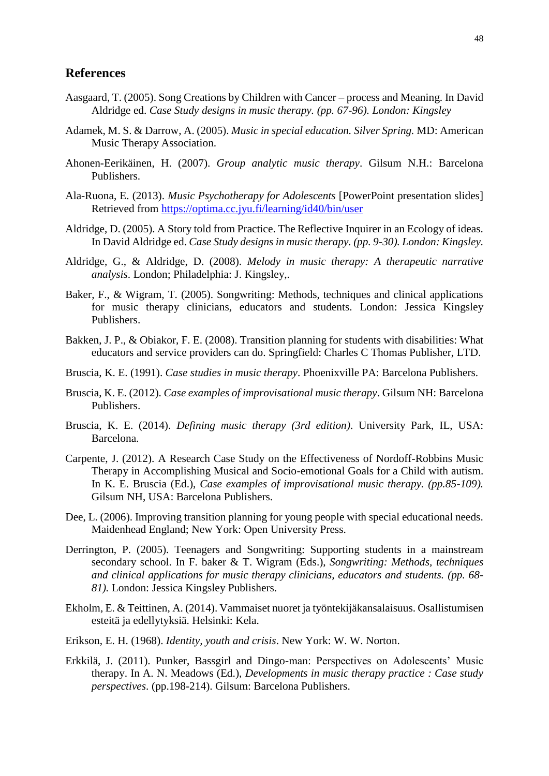#### **References**

- Aasgaard, T. (2005). Song Creations by Children with Cancer process and Meaning. In David Aldridge ed. *Case Study designs in music therapy. (pp. 67-96). London: Kingsley*
- Adamek, M. S. & Darrow, A. (2005). *Music in special education. Silver Spring.* MD: American Music Therapy Association.
- Ahonen-Eerikäinen, H. (2007). *Group analytic music therapy*. Gilsum N.H.: Barcelona Publishers.
- Ala-Ruona, E. (2013). *Music Psychotherapy for Adolescents* [PowerPoint presentation slides] Retrieved from<https://optima.cc.jyu.fi/learning/id40/bin/user>
- Aldridge, D. (2005). A Story told from Practice. The Reflective Inquirer in an Ecology of ideas. In David Aldridge ed. *Case Study designs in music therapy. (pp. 9-30). London: Kingsley.*
- Aldridge, G., & Aldridge, D. (2008). *Melody in music therapy: A therapeutic narrative analysis*. London; Philadelphia: J. Kingsley,.
- Baker, F., & Wigram, T. (2005). Songwriting: Methods, techniques and clinical applications for music therapy clinicians, educators and students. London: Jessica Kingsley Publishers.
- Bakken, J. P., & Obiakor, F. E. (2008). Transition planning for students with disabilities: What educators and service providers can do. Springfield: Charles C Thomas Publisher, LTD.
- Bruscia, K. E. (1991). *Case studies in music therapy*. Phoenixville PA: Barcelona Publishers.
- Bruscia, K. E. (2012). *Case examples of improvisational music therapy*. Gilsum NH: Barcelona Publishers.
- Bruscia, K. E. (2014). *Defining music therapy (3rd edition)*. University Park, IL, USA: Barcelona.
- Carpente, J. (2012). A Research Case Study on the Effectiveness of Nordoff-Robbins Music Therapy in Accomplishing Musical and Socio-emotional Goals for a Child with autism. In K. E. Bruscia (Ed.), *Case examples of improvisational music therapy. (pp.85-109).*  Gilsum NH, USA: Barcelona Publishers.
- Dee, L. (2006). Improving transition planning for young people with special educational needs. Maidenhead England; New York: Open University Press.
- Derrington, P. (2005). Teenagers and Songwriting: Supporting students in a mainstream secondary school. In F. baker & T. Wigram (Eds.), *Songwriting: Methods, techniques and clinical applications for music therapy clinicians, educators and students. (pp. 68- 81).* London: Jessica Kingsley Publishers.
- Ekholm, E. & Teittinen, A. (2014). Vammaiset nuoret ja työntekijäkansalaisuus. Osallistumisen esteitä ja edellytyksiä. Helsinki: Kela.
- Erikson, E. H. (1968). *Identity, youth and crisis*. New York: W. W. Norton.
- Erkkilä, J. (2011). Punker, Bassgirl and Dingo-man: Perspectives on Adolescents' Music therapy. In A. N. Meadows (Ed.), *Developments in music therapy practice : Case study perspectives*. (pp.198-214). Gilsum: Barcelona Publishers.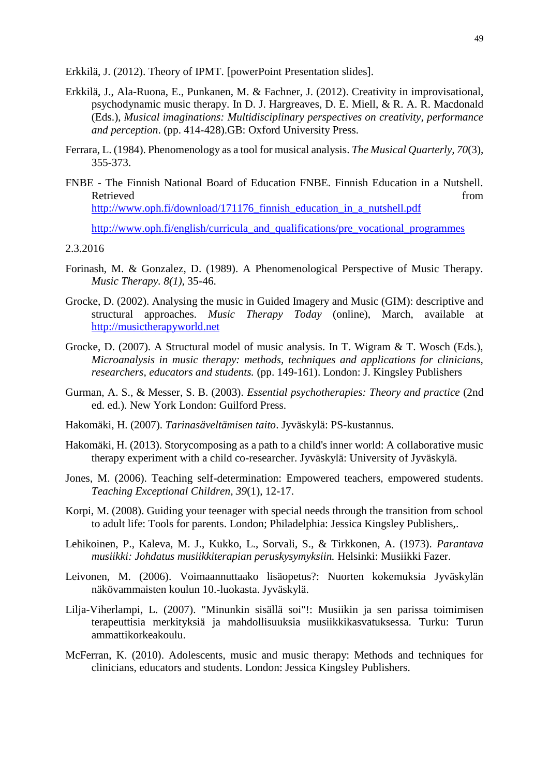Erkkilä, J. (2012). Theory of IPMT. [powerPoint Presentation slides].

- Erkkilä, J., Ala-Ruona, E., Punkanen, M. & Fachner, J. (2012). Creativity in improvisational, psychodynamic music therapy. In D. J. Hargreaves, D. E. Miell, & R. A. R. Macdonald (Eds.), *Musical imaginations: Multidisciplinary perspectives on creativity, performance and perception*. (pp. 414-428).GB: Oxford University Press.
- Ferrara, L. (1984). Phenomenology as a tool for musical analysis. *The Musical Quarterly, 70*(3), 355-373.
- FNBE The Finnish National Board of Education FNBE. Finnish Education in a Nutshell. Retrieved from the state of the state of the state of the state of the state of the state of the state of the state of the state of the state of the state of the state of the state of the state of the state of the state of [http://www.oph.fi/download/171176\\_finnish\\_education\\_in\\_a\\_nutshell.pdf](http://www.oph.fi/download/171176_finnish_education_in_a_nutshell.pdf)

[http://www.oph.fi/english/curricula\\_and\\_qualifications/pre\\_vocational\\_programmes](http://www.oph.fi/english/curricula_and_qualifications/pre_vocational_programmes)

#### 2.3.2016

- Forinash, M. & Gonzalez, D. (1989). A Phenomenological Perspective of Music Therapy. *Music Therapy. 8(1),* 35-46.
- Grocke, D. (2002). Analysing the music in Guided Imagery and Music (GIM): descriptive and structural approaches. *Music Therapy Today* (online), March, available at [http://musictherapyworld.net](http://musictherapyworld.net/)
- Grocke, D. (2007). A Structural model of music analysis. In T. Wigram & T. Wosch (Eds.), *Microanalysis in music therapy: methods, techniques and applications for clinicians, researchers, educators and students.* (pp. 149-161). London: J. Kingsley Publishers
- Gurman, A. S., & Messer, S. B. (2003). *Essential psychotherapies: Theory and practice* (2nd ed. ed.). New York London: Guilford Press.
- Hakomäki, H. (2007). *Tarinasäveltämisen taito*. Jyväskylä: PS-kustannus.
- Hakomäki, H. (2013). Storycomposing as a path to a child's inner world: A collaborative music therapy experiment with a child co-researcher. Jyväskylä: University of Jyväskylä.
- Jones, M. (2006). Teaching self-determination: Empowered teachers, empowered students. *Teaching Exceptional Children, 39*(1), 12-17.
- Korpi, M. (2008). Guiding your teenager with special needs through the transition from school to adult life: Tools for parents. London; Philadelphia: Jessica Kingsley Publishers,.
- Lehikoinen, P., Kaleva, M. J., Kukko, L., Sorvali, S., & Tirkkonen, A. (1973). *Parantava musiikki: Johdatus musiikkiterapian peruskysymyksiin.* Helsinki: Musiikki Fazer.
- Leivonen, M. (2006). Voimaannuttaako lisäopetus?: Nuorten kokemuksia Jyväskylän näkövammaisten koulun 10.-luokasta. Jyväskylä.
- Lilja-Viherlampi, L. (2007). "Minunkin sisällä soi"!: Musiikin ja sen parissa toimimisen terapeuttisia merkityksiä ja mahdollisuuksia musiikkikasvatuksessa. Turku: Turun ammattikorkeakoulu.
- McFerran, K. (2010). Adolescents, music and music therapy: Methods and techniques for clinicians, educators and students. London: Jessica Kingsley Publishers.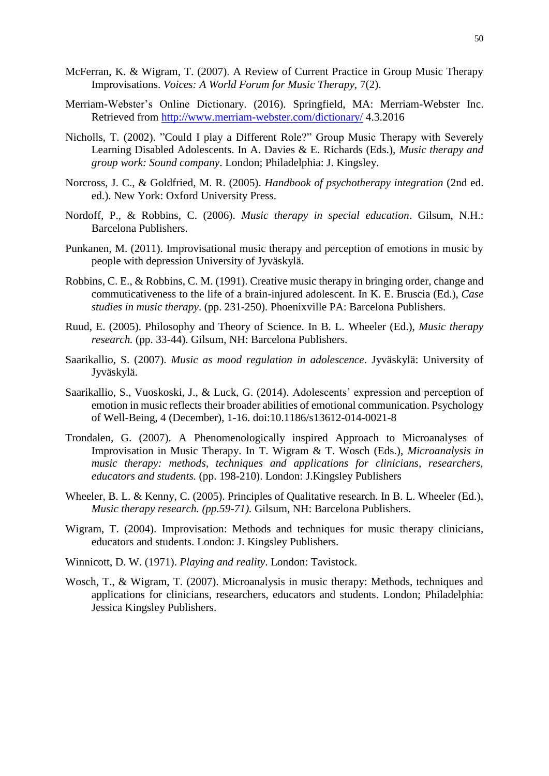- McFerran, K. & Wigram, T. (2007). A Review of Current Practice in Group Music Therapy Improvisations. *Voices: A World Forum for Music Therapy,* 7(2).
- Merriam-Webster's Online Dictionary. (2016). Springfield, MA: Merriam-Webster Inc. Retrieved from<http://www.merriam-webster.com/dictionary/> 4.3.2016
- Nicholls, T. (2002). "Could I play a Different Role?" Group Music Therapy with Severely Learning Disabled Adolescents. In A. Davies & E. Richards (Eds.), *Music therapy and group work: Sound company*. London; Philadelphia: J. Kingsley.
- Norcross, J. C., & Goldfried, M. R. (2005). *Handbook of psychotherapy integration* (2nd ed. ed.). New York: Oxford University Press.
- Nordoff, P., & Robbins, C. (2006). *Music therapy in special education*. Gilsum, N.H.: Barcelona Publishers.
- Punkanen, M. (2011). Improvisational music therapy and perception of emotions in music by people with depression University of Jyväskylä.
- Robbins, C. E., & Robbins, C. M. (1991). Creative music therapy in bringing order, change and commuticativeness to the life of a brain-injured adolescent. In K. E. Bruscia (Ed.), *Case studies in music therapy*. (pp. 231-250). Phoenixville PA: Barcelona Publishers.
- Ruud, E. (2005). Philosophy and Theory of Science. In B. L. Wheeler (Ed.), *Music therapy research.* (pp. 33-44). Gilsum, NH: Barcelona Publishers.
- Saarikallio, S. (2007). *Music as mood regulation in adolescence*. Jyväskylä: University of Jyväskylä.
- Saarikallio, S., Vuoskoski, J., & Luck, G. (2014). Adolescents' expression and perception of emotion in music reflects their broader abilities of emotional communication. Psychology of Well-Being, 4 (December), 1-16. [doi:10.1186/s13612-014-0021-8](http://dx.doi.org/10.1186/s13612-014-0021-8)
- Trondalen, G. (2007). A Phenomenologically inspired Approach to Microanalyses of Improvisation in Music Therapy. In T. Wigram & T. Wosch (Eds.), *Microanalysis in music therapy: methods, techniques and applications for clinicians, researchers, educators and students.* (pp. 198-210). London: J.Kingsley Publishers
- Wheeler, B. L. & Kenny, C. (2005). Principles of Qualitative research. In B. L. Wheeler (Ed.), *Music therapy research. (pp.59-71).* Gilsum, NH: Barcelona Publishers.
- Wigram, T. (2004). Improvisation: Methods and techniques for music therapy clinicians, educators and students. London: J. Kingsley Publishers.
- Winnicott, D. W. (1971). *Playing and reality*. London: Tavistock.
- Wosch, T., & Wigram, T. (2007). Microanalysis in music therapy: Methods, techniques and applications for clinicians, researchers, educators and students. London; Philadelphia: Jessica Kingsley Publishers.